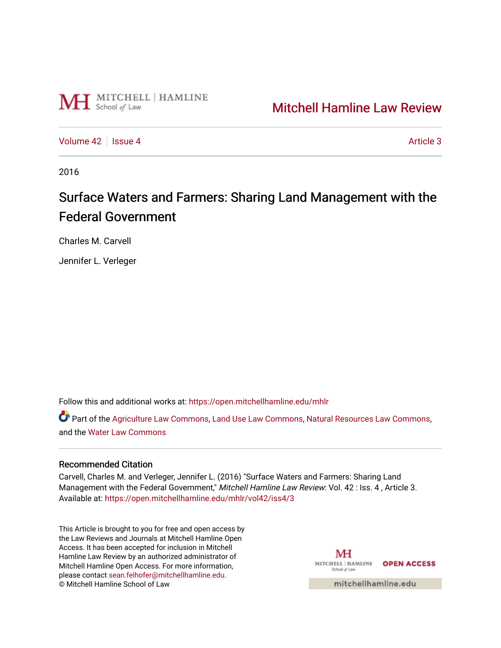

## [Mitchell Hamline Law Review](https://open.mitchellhamline.edu/mhlr)

[Volume 42](https://open.mitchellhamline.edu/mhlr/vol42) | [Issue 4](https://open.mitchellhamline.edu/mhlr/vol42/iss4) Article 3

2016

# Surface Waters and Farmers: Sharing Land Management with the Federal Government

Charles M. Carvell

Jennifer L. Verleger

Follow this and additional works at: [https://open.mitchellhamline.edu/mhlr](https://open.mitchellhamline.edu/mhlr?utm_source=open.mitchellhamline.edu%2Fmhlr%2Fvol42%2Fiss4%2F3&utm_medium=PDF&utm_campaign=PDFCoverPages) 

Part of the [Agriculture Law Commons](http://network.bepress.com/hgg/discipline/581?utm_source=open.mitchellhamline.edu%2Fmhlr%2Fvol42%2Fiss4%2F3&utm_medium=PDF&utm_campaign=PDFCoverPages), [Land Use Law Commons](http://network.bepress.com/hgg/discipline/852?utm_source=open.mitchellhamline.edu%2Fmhlr%2Fvol42%2Fiss4%2F3&utm_medium=PDF&utm_campaign=PDFCoverPages), [Natural Resources Law Commons,](http://network.bepress.com/hgg/discipline/863?utm_source=open.mitchellhamline.edu%2Fmhlr%2Fvol42%2Fiss4%2F3&utm_medium=PDF&utm_campaign=PDFCoverPages) and the [Water Law Commons](http://network.bepress.com/hgg/discipline/887?utm_source=open.mitchellhamline.edu%2Fmhlr%2Fvol42%2Fiss4%2F3&utm_medium=PDF&utm_campaign=PDFCoverPages)

#### Recommended Citation

Carvell, Charles M. and Verleger, Jennifer L. (2016) "Surface Waters and Farmers: Sharing Land Management with the Federal Government," Mitchell Hamline Law Review: Vol. 42 : Iss. 4, Article 3. Available at: [https://open.mitchellhamline.edu/mhlr/vol42/iss4/3](https://open.mitchellhamline.edu/mhlr/vol42/iss4/3?utm_source=open.mitchellhamline.edu%2Fmhlr%2Fvol42%2Fiss4%2F3&utm_medium=PDF&utm_campaign=PDFCoverPages) 

This Article is brought to you for free and open access by the Law Reviews and Journals at Mitchell Hamline Open Access. It has been accepted for inclusion in Mitchell Hamline Law Review by an authorized administrator of Mitchell Hamline Open Access. For more information, please contact [sean.felhofer@mitchellhamline.edu.](mailto:sean.felhofer@mitchellhamline.edu) © Mitchell Hamline School of Law

MH MITCHELL | HAMLINE OPEN ACCESS School of Lav

mitchellhamline.edu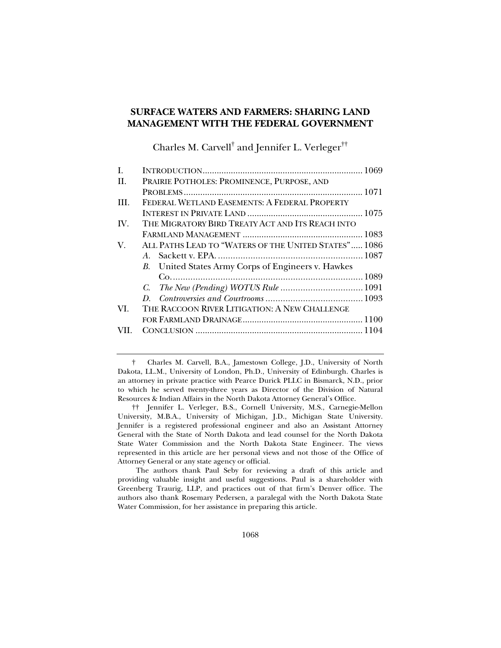### **SURFACE WATERS AND FARMERS: SHARING LAND MANAGEMENT WITH THE FEDERAL GOVERNMENT**

Charles M. Carvell $^\dagger$  and Jennifer L. Verleger $^{\dagger\dagger}$ 

| PRAIRIE POTHOLES: PROMINENCE, PURPOSE, AND           |
|------------------------------------------------------|
|                                                      |
| FEDERAL WETLAND EASEMENTS: A FEDERAL PROPERTY        |
|                                                      |
| THE MIGRATORY BIRD TREATY ACT AND ITS REACH INTO     |
|                                                      |
| ALL PATHS LEAD TO "WATERS OF THE UNITED STATES" 1086 |
|                                                      |
| B. United States Army Corps of Engineers v. Hawkes   |
|                                                      |
|                                                      |
|                                                      |
| THE RACCOON RIVER LITIGATION: A NEW CHALLENGE        |
|                                                      |
|                                                      |
|                                                      |

 † Charles M. Carvell, B.A., Jamestown College, J.D., University of North Dakota, LL.M., University of London, Ph.D., University of Edinburgh. Charles is an attorney in private practice with Pearce Durick PLLC in Bismarck, N.D., prior to which he served twenty-three years as Director of the Division of Natural Resources & Indian Affairs in the North Dakota Attorney General's Office.

 †† Jennifer L. Verleger, B.S., Cornell University, M.S., Carnegie-Mellon University, M.B.A., University of Michigan, J.D., Michigan State University. Jennifer is a registered professional engineer and also an Assistant Attorney General with the State of North Dakota and lead counsel for the North Dakota State Water Commission and the North Dakota State Engineer. The views represented in this article are her personal views and not those of the Office of Attorney General or any state agency or official.

The authors thank Paul Seby for reviewing a draft of this article and providing valuable insight and useful suggestions. Paul is a shareholder with Greenberg Traurig, LLP, and practices out of that firm's Denver office. The authors also thank Rosemary Pedersen, a paralegal with the North Dakota State Water Commission, for her assistance in preparing this article.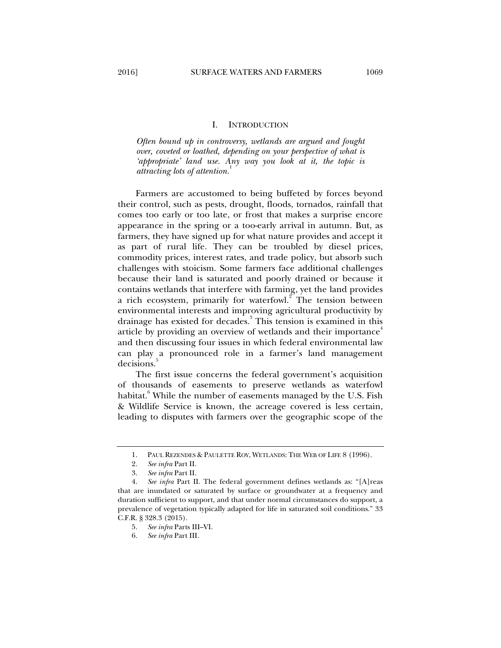#### I. INTRODUCTION

*Often bound up in controversy, wetlands are argued and fought over, coveted or loathed, depending on your perspective of what is 'appropriate' land use. Any way you look at it, the topic is attracting lots of attention.*<sup>1</sup>

Farmers are accustomed to being buffeted by forces beyond their control, such as pests, drought, floods, tornados, rainfall that comes too early or too late, or frost that makes a surprise encore appearance in the spring or a too-early arrival in autumn. But, as farmers, they have signed up for what nature provides and accept it as part of rural life. They can be troubled by diesel prices, commodity prices, interest rates, and trade policy, but absorb such challenges with stoicism. Some farmers face additional challenges because their land is saturated and poorly drained or because it contains wetlands that interfere with farming, yet the land provides a rich ecosystem, primarily for waterfowl.<sup>2</sup> The tension between environmental interests and improving agricultural productivity by drainage has existed for decades.<sup>3</sup> This tension is examined in this article by providing an overview of wetlands and their importance<sup>4</sup> and then discussing four issues in which federal environmental law can play a pronounced role in a farmer's land management decisions.<sup>5</sup>

The first issue concerns the federal government's acquisition of thousands of easements to preserve wetlands as waterfowl habitat.<sup>6</sup> While the number of easements managed by the U.S. Fish & Wildlife Service is known, the acreage covered is less certain, leading to disputes with farmers over the geographic scope of the

 <sup>1.</sup> PAUL REZENDES & PAULETTE ROY, WETLANDS: THE WEB OF LIFE 8 (1996).

 <sup>2.</sup> *See infra* Part II.

 <sup>3.</sup> *See infra* Part II.

 <sup>4.</sup> *See infra* Part II. The federal government defines wetlands as: "[A]reas that are inundated or saturated by surface or groundwater at a frequency and duration sufficient to support, and that under normal circumstances do support, a prevalence of vegetation typically adapted for life in saturated soil conditions." 33 C.F.R. § 328.3 (2015).

 <sup>5.</sup> *See infra* Parts III–VI.

 <sup>6.</sup> *See infra* Part III.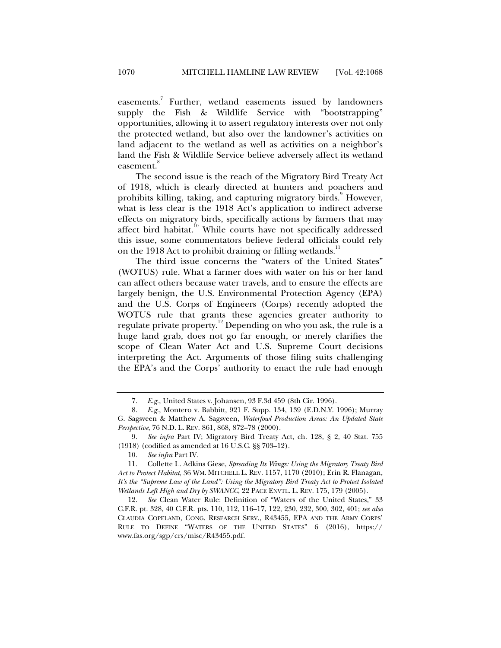easements.<sup>7</sup> Further, wetland easements issued by landowners supply the Fish & Wildlife Service with "bootstrapping" opportunities, allowing it to assert regulatory interests over not only the protected wetland, but also over the landowner's activities on land adjacent to the wetland as well as activities on a neighbor's land the Fish & Wildlife Service believe adversely affect its wetland easement.<sup>8</sup>

The second issue is the reach of the Migratory Bird Treaty Act of 1918, which is clearly directed at hunters and poachers and prohibits killing, taking, and capturing migratory birds.<sup>9</sup> However, what is less clear is the 1918 Act's application to indirect adverse effects on migratory birds, specifically actions by farmers that may affect bird habitat.<sup>10</sup> While courts have not specifically addressed this issue, some commentators believe federal officials could rely on the 1918 Act to prohibit draining or filling wetlands. $^{11}$ 

The third issue concerns the "waters of the United States" (WOTUS) rule. What a farmer does with water on his or her land can affect others because water travels, and to ensure the effects are largely benign, the U.S. Environmental Protection Agency (EPA) and the U.S. Corps of Engineers (Corps) recently adopted the WOTUS rule that grants these agencies greater authority to regulate private property.12 Depending on who you ask, the rule is a huge land grab, does not go far enough, or merely clarifies the scope of Clean Water Act and U.S. Supreme Court decisions interpreting the Act. Arguments of those filing suits challenging the EPA's and the Corps' authority to enact the rule had enough

 <sup>7.</sup> *E.g.*, United States v. Johansen, 93 F.3d 459 (8th Cir. 1996).

 <sup>8.</sup> *E.g.*, Montero v. Babbitt, 921 F. Supp. 134, 139 (E.D.N.Y. 1996); Murray G. Sagsveen & Matthew A. Sagsveen, *Waterfowl Production Areas: An Updated State Perspective*, 76 N.D. L. REV. 861, 868, 872–78 (2000).

 <sup>9.</sup> *See infra* Part IV; Migratory Bird Treaty Act, ch. 128, § 2, 40 Stat. 755 (1918) (codified as amended at 16 U.S.C. §§ 703–12).

 <sup>10.</sup> *See infra* Part IV*.*

 <sup>11.</sup> Collette L. Adkins Giese, *Spreading Its Wings: Using the Migratory Treaty Bird Act to Protect Habitat*, 36 WM. MITCHELL L. REV. 1157, 1170 (2010); Erin R. Flanagan, *It's the "Supreme Law of the Land": Using the Migratory Bird Treaty Act to Protect Isolated Wetlands Left High and Dry by SWANCC*, 22 PACE ENVTL. L. REV. 175, 179 (2005).

 <sup>12.</sup> *See* Clean Water Rule: Definition of "Waters of the United States," 33 C.F.R. pt. 328, 40 C.F.R. pts. 110, 112, 116–17, 122, 230, 232, 300, 302, 401; *see also* CLAUDIA COPELAND, CONG. RESEARCH SERV., R43455, EPA AND THE ARMY CORPS' RULE TO DEFINE "WATERS OF THE UNITED STATES" 6 (2016), https:// www.fas.org/sgp/crs/misc/R43455.pdf.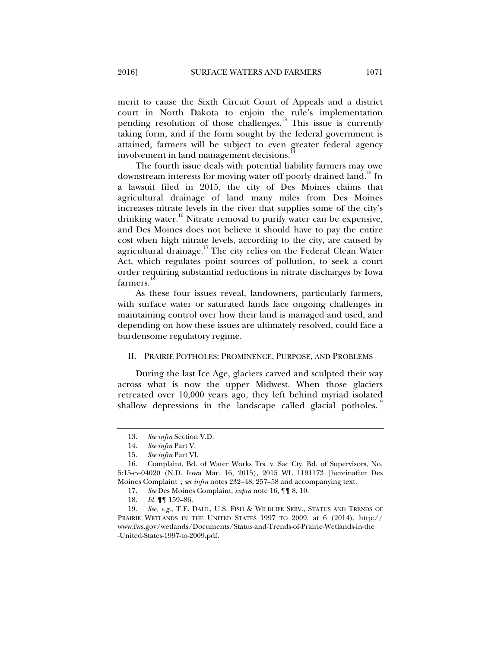merit to cause the Sixth Circuit Court of Appeals and a district court in North Dakota to enjoin the rule's implementation pending resolution of those challenges. $13$  This issue is currently taking form, and if the form sought by the federal government is attained, farmers will be subject to even greater federal agency involvement in land management decisions.

The fourth issue deals with potential liability farmers may owe downstream interests for moving water off poorly drained land.<sup>15</sup> In a lawsuit filed in 2015, the city of Des Moines claims that agricultural drainage of land many miles from Des Moines increases nitrate levels in the river that supplies some of the city's drinking water.<sup>16</sup> Nitrate removal to purify water can be expensive, and Des Moines does not believe it should have to pay the entire cost when high nitrate levels, according to the city, are caused by agricultural drainage.<sup>17</sup> The city relies on the Federal Clean Water Act, which regulates point sources of pollution, to seek a court order requiring substantial reductions in nitrate discharges by Iowa farmers.

As these four issues reveal, landowners, particularly farmers, with surface water or saturated lands face ongoing challenges in maintaining control over how their land is managed and used, and depending on how these issues are ultimately resolved, could face a burdensome regulatory regime.

#### II. PRAIRIE POTHOLES: PROMINENCE, PURPOSE, AND PROBLEMS

During the last Ice Age, glaciers carved and sculpted their way across what is now the upper Midwest. When those glaciers retreated over 10,000 years ago, they left behind myriad isolated shallow depressions in the landscape called glacial potholes.<sup>19</sup>

<sup>13.</sup> See infra Section V.D.<br>14. See infra Part V.

See infra Part V.

 <sup>15.</sup> *See infra* Part VI.

 <sup>16.</sup> Complaint, Bd. of Water Works Trs. v. Sac Cty. Bd. of Supervisors, No. 5:15-cv-04020 (N.D. Iowa Mar. 16, 2015), 2015 WL 1191173 [hereinafter Des Moines Complaint]; *see infra* notes 232–48, 257–58 and accompanying text.

 <sup>17.</sup> *See* Des Moines Complaint, *supra* note 16, ¶¶ 8, 10.

 <sup>18.</sup> *Id.* ¶¶ 159–86.

 <sup>19.</sup> *See, e.g.*, T.E. DAHL, U.S. FISH & WILDLIFE SERV., STATUS AND TRENDS OF PRAIRIE WETLANDS IN THE UNITED STATES 1997 TO 2009, at 6 (2014), http:// www.fws.gov/wetlands/Documents/Status-and-Trends-of-Prairie-Wetlands-in-the -United-States-1997-to-2009.pdf.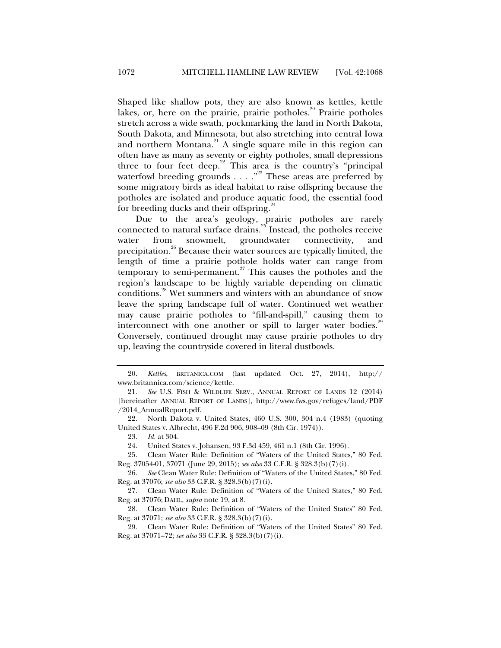Shaped like shallow pots, they are also known as kettles, kettle lakes, or, here on the prairie, prairie potholes.<sup>20</sup> Prairie potholes stretch across a wide swath, pockmarking the land in North Dakota, South Dakota, and Minnesota, but also stretching into central Iowa and northern Montana.<sup>21</sup> A single square mile in this region can often have as many as seventy or eighty potholes, small depressions three to four feet deep.<sup>22</sup> This area is the country's "principal" waterfowl breeding grounds  $\ldots$ ."<sup>23</sup> These areas are preferred by some migratory birds as ideal habitat to raise offspring because the potholes are isolated and produce aquatic food, the essential food for breeding ducks and their offspring.<sup>24</sup>

Due to the area's geology, prairie potholes are rarely connected to natural surface drains. $25$  Instead, the potholes receive water from snowmelt, groundwater connectivity, and precipitation.<sup>26</sup> Because their water sources are typically limited, the length of time a prairie pothole holds water can range from temporary to semi-permanent.<sup>27</sup> This causes the potholes and the region's landscape to be highly variable depending on climatic conditions.<sup>28</sup> Wet summers and winters with an abundance of snow leave the spring landscape full of water. Continued wet weather may cause prairie potholes to "fill-and-spill," causing them to interconnect with one another or spill to larger water bodies.<sup>29</sup> Conversely, continued drought may cause prairie potholes to dry up, leaving the countryside covered in literal dustbowls.

 <sup>20.</sup> *Kettles*, BRITANICA.COM (last updated Oct. 27, 2014), http:// www.britannica.com/science/kettle.

<sup>21</sup>*. See* U.S. FISH & WILDLIFE SERV., ANNUAL REPORT OF LANDS 12 (2014) [hereinafter ANNUAL REPORT OF LANDS], http://www.fws.gov/refuges/land/PDF /2014\_AnnualReport.pdf.

 <sup>22.</sup> North Dakota v. United States, 460 U.S. 300, 304 n.4 (1983) (quoting United States v. Albrecht, 496 F.2d 906, 908–09 (8th Cir. 1974)).

 <sup>23.</sup> *Id.* at 304.

 <sup>24.</sup> United States v. Johansen, 93 F.3d 459, 461 n.1 (8th Cir. 1996).

 <sup>25.</sup> Clean Water Rule: Definition of "Waters of the United States," 80 Fed. Reg. 37054-01, 37071 (June 29, 2015); *see also* 33 C.F.R. § 328.3(b)(7)(i).

 <sup>26.</sup> *See* Clean Water Rule: Definition of "Waters of the United States," 80 Fed. Reg. at 37076; *see also* 33 C.F.R. § 328.3(b)(7)(i).

 <sup>27.</sup> Clean Water Rule: Definition of "Waters of the United States," 80 Fed. Reg. at 37076; DAHL, *supra* note 19, at 8.

 <sup>28.</sup> Clean Water Rule: Definition of "Waters of the United States" 80 Fed. Reg. at 37071; *see also* 33 C.F.R. § 328.3(b)(7)(i).

 <sup>29.</sup> Clean Water Rule: Definition of "Waters of the United States" 80 Fed. Reg. at 37071–72; *see also* 33 C.F.R. § 328.3(b)(7)(i).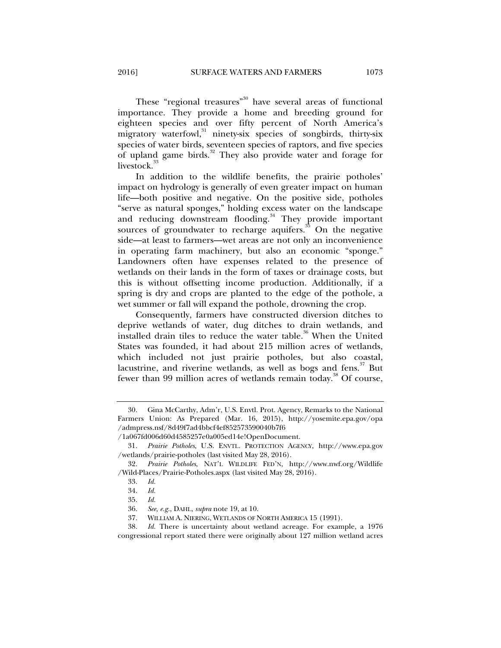These "regional treasures"<sup>30</sup> have several areas of functional importance. They provide a home and breeding ground for eighteen species and over fifty percent of North America's migratory waterfowl,<sup>31</sup> ninety-six species of songbirds, thirty-six species of water birds, seventeen species of raptors, and five species of upland game birds.<sup>32</sup> They also provide water and forage for livestock.<sup>35</sup>

In addition to the wildlife benefits, the prairie potholes' impact on hydrology is generally of even greater impact on human life—both positive and negative. On the positive side, potholes "serve as natural sponges," holding excess water on the landscape and reducing downstream flooding.<sup>34</sup> They provide important sources of groundwater to recharge aquifers. $35$  On the negative side—at least to farmers—wet areas are not only an inconvenience in operating farm machinery, but also an economic "sponge." Landowners often have expenses related to the presence of wetlands on their lands in the form of taxes or drainage costs, but this is without offsetting income production. Additionally, if a spring is dry and crops are planted to the edge of the pothole, a wet summer or fall will expand the pothole, drowning the crop.

Consequently, farmers have constructed diversion ditches to deprive wetlands of water, dug ditches to drain wetlands, and installed drain tiles to reduce the water table.<sup>36</sup> When the United States was founded, it had about 215 million acres of wetlands, which included not just prairie potholes, but also coastal, lacustrine, and riverine wetlands, as well as bogs and fens.<sup>37</sup> But fewer than 99 million acres of wetlands remain today.<sup>38</sup> Of course,

 <sup>30.</sup> Gina McCarthy, Adm'r, U.S. Envtl. Prot. Agency, Remarks to the National Farmers Union: As Prepared (Mar. 16, 2015), http://yosemite.epa.gov/opa /admpress.nsf/8d49f7ad4bbcf4ef852573590040b7f6

<sup>/1</sup>a067fd006d60d4585257e0a005ed14e!OpenDocument.

 <sup>31.</sup> *Prairie Potholes*, U.S. ENVTL. PROTECTION AGENCY, http://www.epa.gov /wetlands/prairie-potholes (last visited May 28, 2016).

 <sup>32.</sup> *Prairie Potholes*, NAT'L WILDLIFE FED'N, http://www.nwf.org/Wildlife /Wild-Places/Prairie-Potholes.aspx (last visited May 28, 2016).

 <sup>33.</sup> *Id.*

 <sup>34.</sup> *Id.*

 <sup>35.</sup> *Id.* 

 <sup>36.</sup> *See, e.g.*, DAHL, *supra* note 19, at 10.

 <sup>37.</sup> WILLIAM A. NIERING, WETLANDS OF NORTH AMERICA 15 (1991).

 <sup>38.</sup> *Id.* There is uncertainty about wetland acreage. For example, a 1976 congressional report stated there were originally about 127 million wetland acres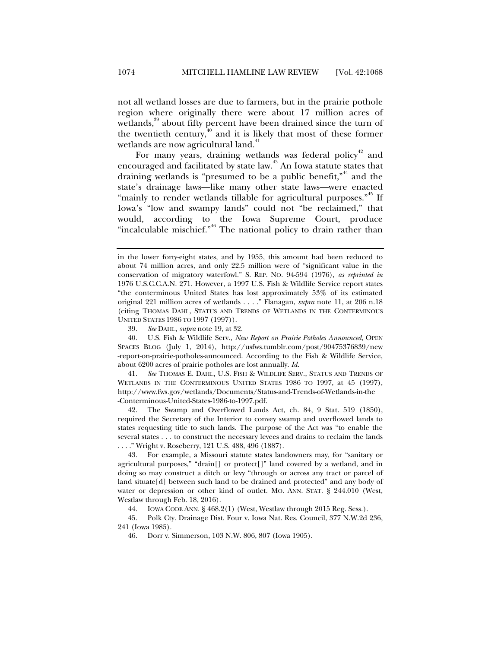not all wetland losses are due to farmers, but in the prairie pothole region where originally there were about 17 million acres of wetlands,<sup>39</sup> about fifty percent have been drained since the turn of the twentieth century, $40^{\frac{1}{40}}$  and it is likely that most of these former wetlands are now agricultural land.<sup>41</sup>

For many years, draining wetlands was federal policy<sup>42</sup> and encouraged and facilitated by state law.<sup>43</sup> An Iowa statute states that draining wetlands is "presumed to be a public benefit,"<sup>44</sup> and the state's drainage laws—like many other state laws—were enacted "mainly to render wetlands tillable for agricultural purposes."<sup>45</sup> If Iowa's "low and swampy lands" could not "be reclaimed," that would, according to the Iowa Supreme Court, produce "incalculable mischief."<sup>46</sup> The national policy to drain rather than

 40. U.S. Fish & Wildlife Serv., *New Report on Prairie Potholes Announced*, OPEN SPACES BLOG (July 1, 2014), http://usfws.tumblr.com/post/90475376839/new -report-on-prairie-potholes-announced. According to the Fish & Wildlife Service, about 6200 acres of prairie potholes are lost annually. *Id.*

 41. *See* THOMAS E. DAHL, U.S. FISH & WILDLIFE SERV., STATUS AND TRENDS OF WETLANDS IN THE CONTERMINOUS UNITED STATES 1986 TO 1997, at 45 (1997), http://www.fws.gov/wetlands/Documents/Status-and-Trends-of-Wetlands-in-the -Conterminous-United-States-1986-to-1997.pdf.

The Swamp and Overflowed Lands Act, ch. 84, 9 Stat. 519 (1850), required the Secretary of the Interior to convey swamp and overflowed lands to states requesting title to such lands. The purpose of the Act was "to enable the several states . . . to construct the necessary levees and drains to reclaim the lands . . . ." Wright v. Roseberry, 121 U.S. 488, 496 (1887).

 43. For example, a Missouri statute states landowners may, for "sanitary or agricultural purposes," "drain[] or protect[]" land covered by a wetland, and in doing so may construct a ditch or levy "through or across any tract or parcel of land situate[d] between such land to be drained and protected" and any body of water or depression or other kind of outlet. MO. ANN. STAT. § 244.010 (West, Westlaw through Feb. 18, 2016).

44. IOWA CODE ANN. § 468.2(1) (West, Westlaw through 2015 Reg. Sess.).

 45. Polk Cty. Drainage Dist. Four v. Iowa Nat. Res. Council, 377 N.W.2d 236, 241 (Iowa 1985).

46. Dorr v. Simmerson, 103 N.W. 806, 807 (Iowa 1905).

in the lower forty-eight states, and by 1955, this amount had been reduced to about 74 million acres, and only 22.5 million were of "significant value in the conservation of migratory waterfowl." S. REP. NO. 94-594 (1976), *as reprinted in*  1976 U.S.C.C.A.N. 271. However, a 1997 U.S. Fish & Wildlife Service report states "the conterminous United States has lost approximately 53% of its estimated original 221 million acres of wetlands . . . ." Flanagan, *supra* note 11, at 206 n.18 (citing THOMAS DAHL, STATUS AND TRENDS OF WETLANDS IN THE CONTERMINOUS UNITED STATES 1986 TO 1997 (1997)).

 <sup>39.</sup> *See* DAHL, *supra* note 19, at 32.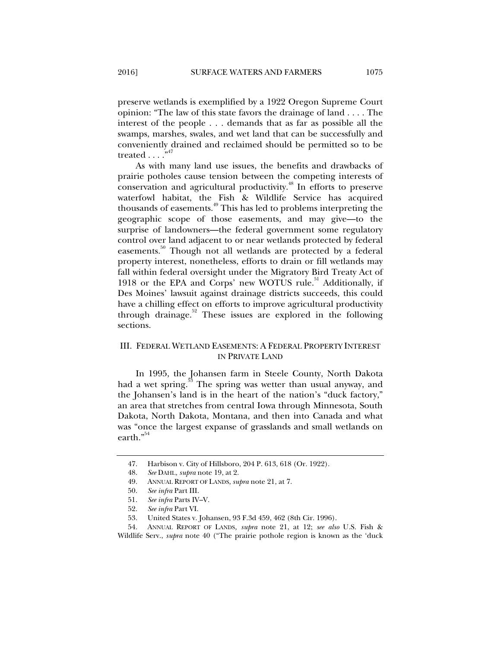preserve wetlands is exemplified by a 1922 Oregon Supreme Court opinion: "The law of this state favors the drainage of land . . . . The interest of the people . . . demands that as far as possible all the swamps, marshes, swales, and wet land that can be successfully and conveniently drained and reclaimed should be permitted so to be treated  $\dots$ ."<sup>47</sup>

As with many land use issues, the benefits and drawbacks of prairie potholes cause tension between the competing interests of conservation and agricultural productivity.<sup>48</sup> In efforts to preserve waterfowl habitat, the Fish & Wildlife Service has acquired thousands of easements.49 This has led to problems interpreting the geographic scope of those easements, and may give—to the surprise of landowners—the federal government some regulatory control over land adjacent to or near wetlands protected by federal easements.<sup>50</sup> Though not all wetlands are protected by a federal property interest, nonetheless, efforts to drain or fill wetlands may fall within federal oversight under the Migratory Bird Treaty Act of 1918 or the EPA and Corps' new WOTUS rule.<sup>51</sup> Additionally, if Des Moines' lawsuit against drainage districts succeeds, this could have a chilling effect on efforts to improve agricultural productivity through drainage. $52$  These issues are explored in the following sections.

#### III. FEDERAL WETLAND EASEMENTS: A FEDERAL PROPERTY INTEREST IN PRIVATE LAND

In 1995, the Johansen farm in Steele County, North Dakota had a wet spring. $53$  The spring was wetter than usual anyway, and the Johansen's land is in the heart of the nation's "duck factory," an area that stretches from central Iowa through Minnesota, South Dakota, North Dakota, Montana, and then into Canada and what was "once the largest expanse of grasslands and small wetlands on earth."<sup>54</sup>

 <sup>47.</sup> Harbison v. City of Hillsboro, 204 P. 613, 618 (Or. 1922).

 <sup>48.</sup> *See* DAHL, *supra* note 19, at 2.

 <sup>49.</sup> ANNUAL REPORT OF LANDS, *supra* note 21, at 7.

 <sup>50.</sup> *See infra* Part III.

 <sup>51.</sup> *See infra* Parts IV–V.

 <sup>52.</sup> *See infra* Part VI.

 <sup>53.</sup> United States v. Johansen, 93 F.3d 459, 462 (8th Cir. 1996).

 <sup>54.</sup> ANNUAL REPORT OF LANDS*, supra* note 21, at 12; *see also* U.S. Fish & Wildlife Serv., *supra* note 40 ("The prairie pothole region is known as the 'duck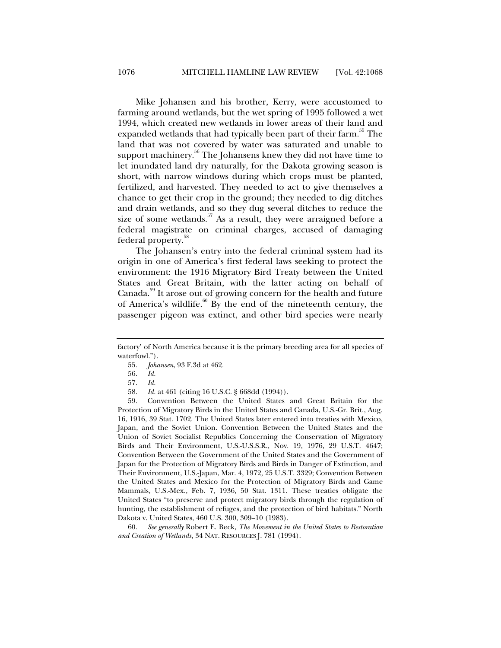Mike Johansen and his brother, Kerry, were accustomed to farming around wetlands, but the wet spring of 1995 followed a wet 1994, which created new wetlands in lower areas of their land and expanded wetlands that had typically been part of their farm.<sup>35</sup> The land that was not covered by water was saturated and unable to support machinery.<sup>56</sup> The Johansens knew they did not have time to let inundated land dry naturally, for the Dakota growing season is short, with narrow windows during which crops must be planted, fertilized, and harvested. They needed to act to give themselves a chance to get their crop in the ground; they needed to dig ditches and drain wetlands, and so they dug several ditches to reduce the size of some wetlands.<sup>57</sup> As a result, they were arraigned before a federal magistrate on criminal charges, accused of damaging federal property.<sup>58</sup>

The Johansen's entry into the federal criminal system had its origin in one of America's first federal laws seeking to protect the environment: the 1916 Migratory Bird Treaty between the United States and Great Britain, with the latter acting on behalf of Canada.<sup>59</sup> It arose out of growing concern for the health and future of America's wildlife. $60$  By the end of the nineteenth century, the passenger pigeon was extinct, and other bird species were nearly

 59. Convention Between the United States and Great Britain for the Protection of Migratory Birds in the United States and Canada, U.S.-Gr. Brit., Aug. 16, 1916, 39 Stat. 1702. The United States later entered into treaties with Mexico, Japan, and the Soviet Union. Convention Between the United States and the Union of Soviet Socialist Republics Concerning the Conservation of Migratory Birds and Their Environment, U.S.-U.S.S.R., Nov. 19, 1976, 29 U.S.T. 4647; Convention Between the Government of the United States and the Government of Japan for the Protection of Migratory Birds and Birds in Danger of Extinction, and Their Environment, U.S.-Japan, Mar. 4, 1972, 25 U.S.T. 3329; Convention Between the United States and Mexico for the Protection of Migratory Birds and Game Mammals, U.S.-Mex., Feb. 7, 1936, 50 Stat. 1311. These treaties obligate the United States "to preserve and protect migratory birds through the regulation of hunting, the establishment of refuges, and the protection of bird habitats." North Dakota v. United States, 460 U.S. 300, 309–10 (1983).

 60. *See generally* Robert E. Beck, *The Movement in the United States to Restoration and Creation of Wetlands*, 34 NAT. RESOURCES J. 781 (1994).

factory' of North America because it is the primary breeding area for all species of waterfowl.").

 <sup>55.</sup> *Johansen*, 93 F.3d at 462.

 <sup>56.</sup> *Id.*

 <sup>57.</sup> *Id.*

 <sup>58.</sup> *Id.* at 461 (citing 16 U.S.C. § 668dd (1994)).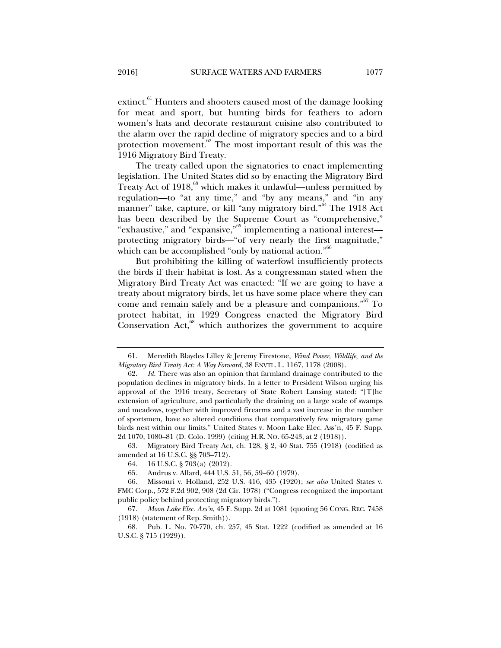extinct.<sup>61</sup> Hunters and shooters caused most of the damage looking for meat and sport, but hunting birds for feathers to adorn women's hats and decorate restaurant cuisine also contributed to the alarm over the rapid decline of migratory species and to a bird protection movement.<sup>62</sup> The most important result of this was the 1916 Migratory Bird Treaty.

The treaty called upon the signatories to enact implementing legislation. The United States did so by enacting the Migratory Bird Treaty Act of 1918,<sup>63</sup> which makes it unlawful—unless permitted by regulation—to "at any time," and "by any means," and "in any manner" take, capture, or kill "any migratory bird."64 The 1918 Act has been described by the Supreme Court as "comprehensive," "exhaustive," and "expansive,"65 implementing a national interest protecting migratory birds—"of very nearly the first magnitude," which can be accomplished "only by national action."<sup>66</sup>

But prohibiting the killing of waterfowl insufficiently protects the birds if their habitat is lost. As a congressman stated when the Migratory Bird Treaty Act was enacted: "If we are going to have a treaty about migratory birds, let us have some place where they can come and remain safely and be a pleasure and companions."<sup>67</sup> To protect habitat, in 1929 Congress enacted the Migratory Bird Conservation Act,<sup>68</sup> which authorizes the government to acquire

 63. Migratory Bird Treaty Act, ch. 128, § 2, 40 Stat. 755 (1918) (codified as amended at 16 U.S.C. §§ 703–712).

 <sup>61.</sup> Meredith Blaydes Lilley & Jeremy Firestone, *Wind Power, Wildlife, and the Migratory Bird Treaty Act: A Way Forward*, 38 ENVTL. L. 1167, 1178 (2008).

 <sup>62.</sup> *Id.* There was also an opinion that farmland drainage contributed to the population declines in migratory birds. In a letter to President Wilson urging his approval of the 1916 treaty, Secretary of State Robert Lansing stated: "[T]he extension of agriculture, and particularly the draining on a large scale of swamps and meadows, together with improved firearms and a vast increase in the number of sportsmen, have so altered conditions that comparatively few migratory game birds nest within our limits." United States v. Moon Lake Elec. Ass'n, 45 F. Supp. 2d 1070, 1080–81 (D. Colo. 1999) (citing H.R. NO. 65-243, at 2 (1918)).

 <sup>64. 16</sup> U.S.C. § 703(a) (2012).

 <sup>65.</sup> Andrus v. Allard, 444 U.S. 51, 56, 59–60 (1979).

 <sup>66.</sup> Missouri v. Holland, 252 U.S. 416, 435 (1920); *see also* United States v. FMC Corp., 572 F.2d 902, 908 (2d Cir. 1978) ("Congress recognized the important public policy behind protecting migratory birds.").

 <sup>67.</sup> *Moon Lake Elec. Ass'n*, 45 F. Supp. 2d at 1081 (quoting 56 CONG. REC. 7458 (1918) (statement of Rep. Smith)).

 <sup>68.</sup> Pub. L. No. 70-770, ch. 257, 45 Stat. 1222 (codified as amended at 16 U.S.C. § 715 (1929)).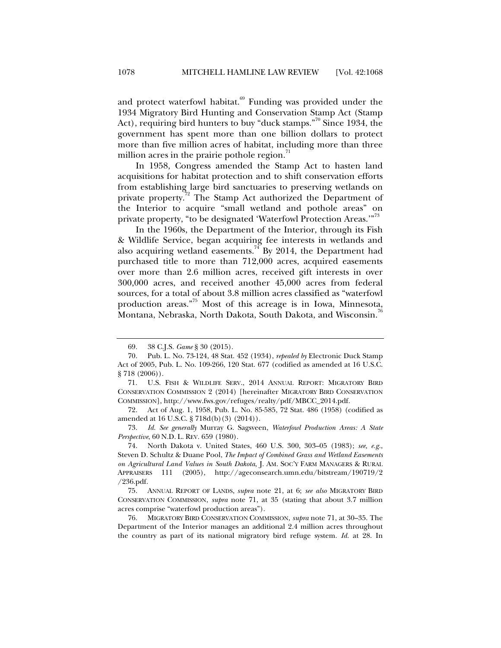and protect waterfowl habitat. $69$  Funding was provided under the 1934 Migratory Bird Hunting and Conservation Stamp Act (Stamp Act), requiring bird hunters to buy "duck stamps."<sup>70</sup> Since 1934, the government has spent more than one billion dollars to protect more than five million acres of habitat, including more than three million acres in the prairie pothole region.<sup>71</sup>

In 1958, Congress amended the Stamp Act to hasten land acquisitions for habitat protection and to shift conservation efforts from establishing large bird sanctuaries to preserving wetlands on private property.<sup>72</sup> The Stamp Act authorized the Department of the Interior to acquire "small wetland and pothole areas" on private property, "to be designated 'Waterfowl Protection Areas.'"<sup>73</sup>

In the 1960s, the Department of the Interior, through its Fish & Wildlife Service, began acquiring fee interests in wetlands and also acquiring wetland easements.<sup>74</sup> By 2014, the Department had purchased title to more than 712,000 acres, acquired easements over more than 2.6 million acres, received gift interests in over 300,000 acres, and received another 45,000 acres from federal sources, for a total of about 3.8 million acres classified as "waterfowl production areas."75 Most of this acreage is in Iowa, Minnesota, Montana, Nebraska, North Dakota, South Dakota, and Wisconsin.<sup>76</sup>

 73. *Id. See generally* Murray G. Sagsveen, *Waterfowl Production Areas: A State Perspective*, 60 N.D. L. REV. 659 (1980).

 74. North Dakota v. United States, 460 U.S. 300, 303–05 (1983); *see, e.g.*, Steven D. Schultz & Duane Pool, *The Impact of Combined Grass and Wetland Easements on Agricultural Land Values in South Dakota*, J. AM. SOC'Y FARM MANAGERS & RURAL APPRAISERS 111 (2005), http://ageconsearch.umn.edu/bitstream/190719/2 /236.pdf.

 75. ANNUAL REPORT OF LANDS, *supra* note 21, at 6; *see also* MIGRATORY BIRD CONSERVATION COMMISSION, *supra* note 71, at 35 (stating that about 3.7 million acres comprise "waterfowl production areas").

 76. MIGRATORY BIRD CONSERVATION COMMISSION, *supra* note 71, at 30–35. The Department of the Interior manages an additional 2.4 million acres throughout the country as part of its national migratory bird refuge system. *Id.* at 28. In

 <sup>69. 38</sup> C.J.S. *Game* § 30 (2015).

 <sup>70.</sup> Pub. L. No. 73-124, 48 Stat. 452 (1934), *repealed by* Electronic Duck Stamp Act of 2005, Pub. L. No. 109-266, 120 Stat. 677 (codified as amended at 16 U.S.C. § 718 (2006)).

 <sup>71.</sup> U.S. FISH & WILDLIFE SERV., 2014 ANNUAL REPORT: MIGRATORY BIRD CONSERVATION COMMISSION 2 (2014) [hereinafter MIGRATORY BIRD CONSERVATION COMMISSION], http://www.fws.gov/refuges/realty/pdf/MBCC\_2014.pdf.

 <sup>72.</sup> Act of Aug. 1, 1958, Pub. L. No. 85-585, 72 Stat. 486 (1958) (codified as amended at 16 U.S.C. § 718d(b)(3) (2014)).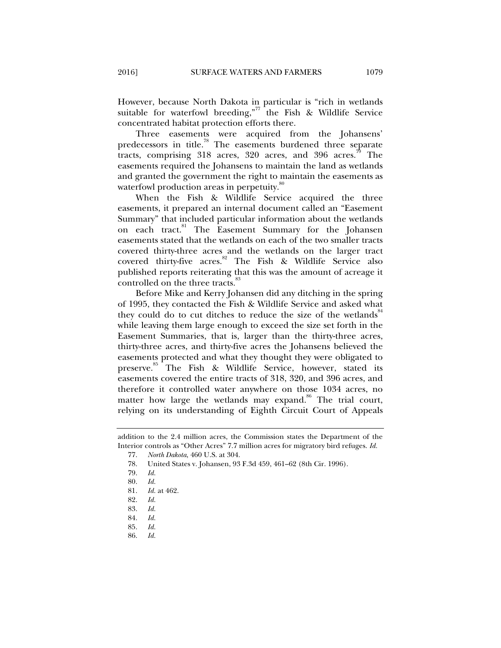However, because North Dakota in particular is "rich in wetlands suitable for waterfowl breeding,"<sup>77</sup> the Fish & Wildlife Service concentrated habitat protection efforts there.

Three easements were acquired from the Johansens' predecessors in title.78 The easements burdened three separate tracts, comprising 318 acres, 320 acres, and 396 acres.<sup>79</sup> The easements required the Johansens to maintain the land as wetlands and granted the government the right to maintain the easements as waterfowl production areas in perpetuity.<sup>80</sup>

When the Fish & Wildlife Service acquired the three easements, it prepared an internal document called an "Easement Summary" that included particular information about the wetlands on each tract.<sup>81</sup> The Easement Summary for the Johansen easements stated that the wetlands on each of the two smaller tracts covered thirty-three acres and the wetlands on the larger tract covered thirty-five  $\arccos$ .<sup>82</sup> The Fish & Wildlife Service also published reports reiterating that this was the amount of acreage it controlled on the three tracts.<sup>83</sup>

Before Mike and Kerry Johansen did any ditching in the spring of 1995, they contacted the Fish & Wildlife Service and asked what they could do to cut ditches to reduce the size of the wetlands<sup>84</sup> while leaving them large enough to exceed the size set forth in the Easement Summaries, that is, larger than the thirty-three acres, thirty-three acres, and thirty-five acres the Johansens believed the easements protected and what they thought they were obligated to preserve.<sup>85</sup> The Fish & Wildlife Service, however, stated its easements covered the entire tracts of 318, 320, and 396 acres, and therefore it controlled water anywhere on those 1034 acres, no matter how large the wetlands may expand.<sup>86</sup> The trial court, relying on its understanding of Eighth Circuit Court of Appeals

- 85. *Id.*
- 86. *Id.*

addition to the 2.4 million acres, the Commission states the Department of the Interior controls as "Other Acres" 7.7 million acres for migratory bird refuges. *Id.* 

 <sup>77.</sup> *North Dakota*, 460 U.S. at 304.

 <sup>78.</sup> United States v. Johansen, 93 F.3d 459, 461–62 (8th Cir. 1996).

 <sup>79.</sup> *Id.*

 <sup>80.</sup> *Id.*

 <sup>81.</sup> *Id.* at 462.

 <sup>82.</sup> *Id.*

 <sup>83.</sup> *Id.*

 <sup>84.</sup> *Id.*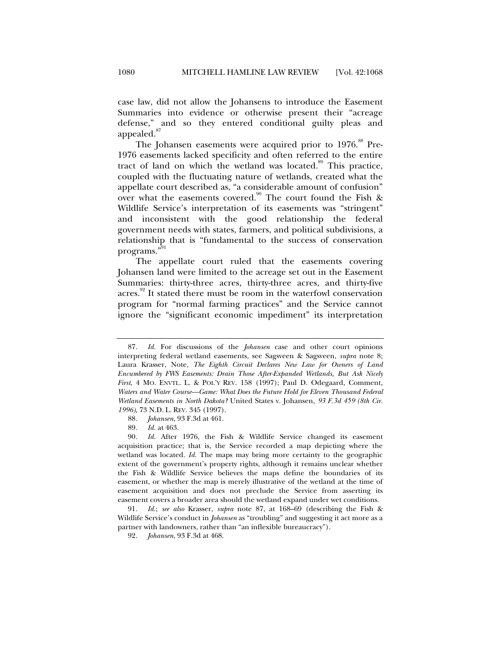case law, did not allow the Johansens to introduce the Easement Summaries into evidence or otherwise present their "acreage defense," and so they entered conditional guilty pleas and appealed.<sup>87</sup>

The Johansen easements were acquired prior to 1976.<sup>88</sup> Pre-1976 easements lacked specificity and often referred to the entire tract of land on which the wetland was located.<sup>89</sup> This practice, coupled with the fluctuating nature of wetlands, created what the appellate court described as, "a considerable amount of confusion" over what the easements covered.<sup>90</sup> The court found the Fish & Wildlife Service's interpretation of its easements was "stringent" and inconsistent with the good relationship the federal government needs with states, farmers, and political subdivisions, a relationship that is "fundamental to the success of conservation programs."

The appellate court ruled that the easements covering Johansen land were limited to the acreage set out in the Easement Summaries: thirty-three acres, thirty-three acres, and thirty-five acres.<sup>92</sup> It stated there must be room in the waterfowl conservation program for "normal farming practices" and the Service cannot ignore the "significant economic impediment" its interpretation

 <sup>87.</sup> *Id.* For discussions of the *Johansen* case and other court opinions interpreting federal wetland easements, see Sagsveen & Sagsveen, *supra* note 8; Laura Krasser, Note, *The Eighth Circuit Declares New Law for Owners of Land Encumbered by FWS Easements: Drain Those After-Expanded Wetlands, But Ask Nicely First*, 4 MO. ENVTL. L. & POL'Y REV. 158 (1997); Paul D. Odegaard, Comment, *Waters and Water Course—Game: What Does the Future Hold for Eleven Thousand Federal Wetland Easements in North Dakota?* United States v. Johansen*, 93 F.3d 459 (8th Cir. 1996)*, 73 N.D. L. REV. 345 (1997).

 <sup>88.</sup> *Johansen*, 93 F.3d at 461.

 <sup>89.</sup> *Id.* at 463.

 <sup>90.</sup> *Id.* After 1976, the Fish & Wildlife Service changed its easement acquisition practice; that is, the Service recorded a map depicting where the wetland was located. *Id.* The maps may bring more certainty to the geographic extent of the government's property rights, although it remains unclear whether the Fish & Wildlife Service believes the maps define the boundaries of its easement, or whether the map is merely illustrative of the wetland at the time of easement acquisition and does not preclude the Service from asserting its easement covers a broader area should the wetland expand under wet conditions.

 <sup>91.</sup> *Id.*; *see also* Krasser, *supra* note 87, at 168–69 (describing the Fish & Wildlife Service's conduct in *Johansen* as "troubling" and suggesting it act more as a partner with landowners, rather than "an inflexible bureaucracy").

 <sup>92.</sup> *Johansen*, 93 F.3d at 468.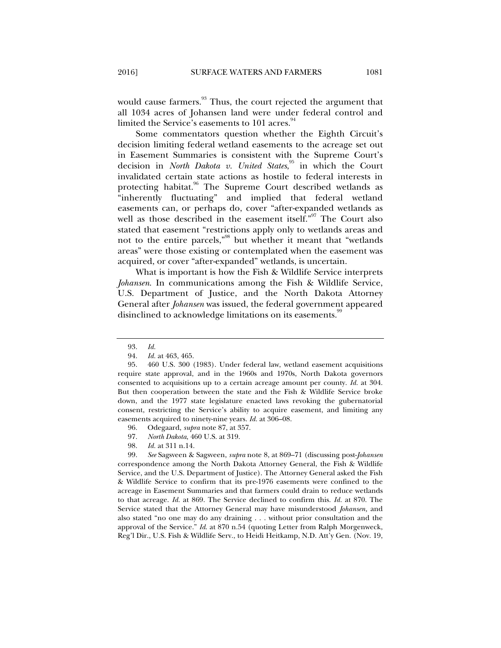would cause farmers.<sup>93</sup> Thus, the court rejected the argument that all 1034 acres of Johansen land were under federal control and limited the Service's easements to 101 acres. $94$ 

Some commentators question whether the Eighth Circuit's decision limiting federal wetland easements to the acreage set out in Easement Summaries is consistent with the Supreme Court's decision in *North Dakota v. United States*, 95 in which the Court invalidated certain state actions as hostile to federal interests in protecting habitat.<sup>96</sup> The Supreme Court described wetlands as "inherently fluctuating" and implied that federal wetland easements can, or perhaps do, cover "after-expanded wetlands as well as those described in the easement itself."<sup>97</sup> The Court also stated that easement "restrictions apply only to wetlands areas and not to the entire parcels,"98 but whether it meant that "wetlands areas" were those existing or contemplated when the easement was acquired, or cover "after-expanded" wetlands, is uncertain.

What is important is how the Fish & Wildlife Service interprets *Johansen*. In communications among the Fish & Wildlife Service, U.S. Department of Justice, and the North Dakota Attorney General after *Johansen* was issued, the federal government appeared disinclined to acknowledge limitations on its easements.<sup>99</sup>

- 97. *North Dakota*, 460 U.S. at 319.
- 98. *Id.* at 311 n.14.

 99. *See* Sagsveen & Sagsveen, *supra* note 8, at 869–71 (discussing post-*Johansen* correspondence among the North Dakota Attorney General, the Fish & Wildlife Service, and the U.S. Department of Justice). The Attorney General asked the Fish & Wildlife Service to confirm that its pre-1976 easements were confined to the acreage in Easement Summaries and that farmers could drain to reduce wetlands to that acreage. *Id.* at 869. The Service declined to confirm this. *Id.* at 870. The Service stated that the Attorney General may have misunderstood *Johansen,* and also stated "no one may do any draining . . . without prior consultation and the approval of the Service." *Id*. at 870 n.54 (quoting Letter from Ralph Morgenweck, Reg'l Dir., U.S. Fish & Wildlife Serv., to Heidi Heitkamp, N.D. Att'y Gen. (Nov. 19,

 <sup>93.</sup> *Id.*

 <sup>94.</sup> *Id.* at 463, 465.

 <sup>95. 460</sup> U.S. 300 (1983). Under federal law, wetland easement acquisitions require state approval, and in the 1960s and 1970s, North Dakota governors consented to acquisitions up to a certain acreage amount per county. *Id.* at 304. But then cooperation between the state and the Fish & Wildlife Service broke down, and the 1977 state legislature enacted laws revoking the gubernatorial consent, restricting the Service's ability to acquire easement, and limiting any easements acquired to ninety-nine years. *Id.* at 306–08.

 <sup>96.</sup> Odegaard, *supra* note 87, at 357.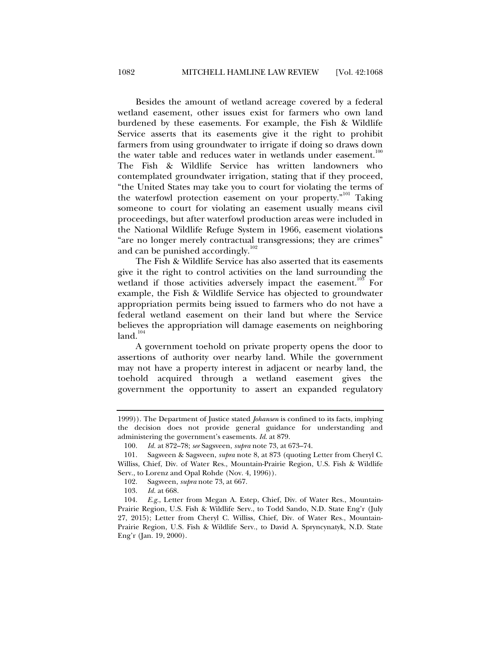Besides the amount of wetland acreage covered by a federal wetland easement, other issues exist for farmers who own land burdened by these easements. For example, the Fish & Wildlife Service asserts that its easements give it the right to prohibit farmers from using groundwater to irrigate if doing so draws down the water table and reduces water in wetlands under easement. $100$ The Fish & Wildlife Service has written landowners who contemplated groundwater irrigation, stating that if they proceed, "the United States may take you to court for violating the terms of the waterfowl protection easement on your property."<sup>101</sup> Taking someone to court for violating an easement usually means civil proceedings, but after waterfowl production areas were included in the National Wildlife Refuge System in 1966, easement violations "are no longer merely contractual transgressions; they are crimes" and can be punished accordingly. $102$ 

The Fish & Wildlife Service has also asserted that its easements give it the right to control activities on the land surrounding the wetland if those activities adversely impact the easement.<sup>103</sup> For example, the Fish & Wildlife Service has objected to groundwater appropriation permits being issued to farmers who do not have a federal wetland easement on their land but where the Service believes the appropriation will damage easements on neighboring  $land.<sup>104</sup>$ 

A government toehold on private property opens the door to assertions of authority over nearby land. While the government may not have a property interest in adjacent or nearby land, the toehold acquired through a wetland easement gives the government the opportunity to assert an expanded regulatory

<sup>1999)).</sup> The Department of Justice stated *Johansen* is confined to its facts, implying the decision does not provide general guidance for understanding and administering the government's easements. *Id*. at 879.

 <sup>100.</sup> *Id.* at 872–78; *see* Sagsveen, *supra* note 73, at 673–74.

 <sup>101.</sup> Sagsveen & Sagsveen, *supra* note 8, at 873 (quoting Letter from Cheryl C. Williss, Chief, Div. of Water Res., Mountain-Prairie Region, U.S. Fish & Wildlife Serv., to Lorenz and Opal Rohde (Nov. 4, 1996)).

 <sup>102.</sup> Sagsveen, *supra* note 73, at 667.

 <sup>103.</sup> *Id.* at 668.

 <sup>104.</sup> *E.g.*, Letter from Megan A. Estep, Chief, Div. of Water Res., Mountain-Prairie Region, U.S. Fish & Wildlife Serv., to Todd Sando, N.D. State Eng'r (July 27, 2015); Letter from Cheryl C. Williss, Chief, Div. of Water Res., Mountain-Prairie Region, U.S. Fish & Wildlife Serv., to David A. Spryncynatyk, N.D. State Eng'r (Jan. 19, 2000).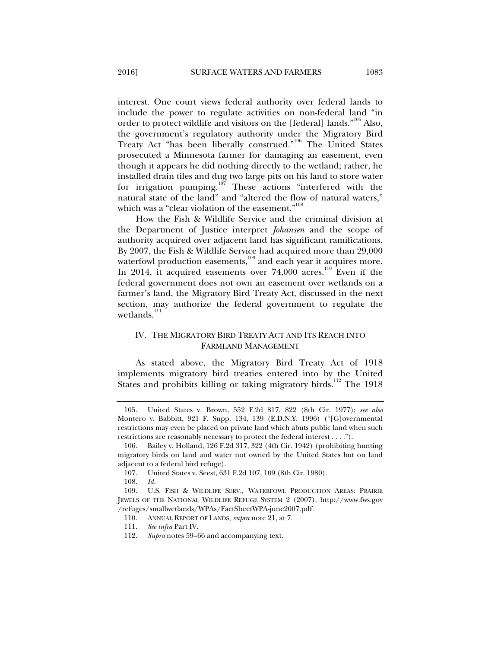interest. One court views federal authority over federal lands to include the power to regulate activities on non-federal land "in order to protect wildlife and visitors on the [federal] lands."<sup>105</sup> Also, the government's regulatory authority under the Migratory Bird Treaty Act "has been liberally construed."106 The United States prosecuted a Minnesota farmer for damaging an easement, even though it appears he did nothing directly to the wetland; rather, he installed drain tiles and dug two large pits on his land to store water for irrigation pumping.107 These actions "interfered with the natural state of the land" and "altered the flow of natural waters," which was a "clear violation of the easement."<sup>108</sup>

How the Fish & Wildlife Service and the criminal division at the Department of Justice interpret *Johansen* and the scope of authority acquired over adjacent land has significant ramifications. By 2007, the Fish & Wildlife Service had acquired more than 29,000 waterfowl production easements,<sup>109</sup> and each year it acquires more. In 2014, it acquired easements over  $74,000$  acres.<sup>110</sup> Even if the federal government does not own an easement over wetlands on a farmer's land, the Migratory Bird Treaty Act, discussed in the next section, may authorize the federal government to regulate the wetlands. $111$ 

#### IV. THE MIGRATORY BIRD TREATY ACT AND ITS REACH INTO FARMLAND MANAGEMENT

As stated above, the Migratory Bird Treaty Act of 1918 implements migratory bird treaties entered into by the United States and prohibits killing or taking migratory birds.<sup>112</sup> The 1918

 <sup>105.</sup> United States v. Brown, 552 F.2d 817, 822 (8th Cir. 1977); *see also*  Montero v. Babbitt, 921 F. Supp. 134, 139 (E.D.N.Y. 1996) ("[G]overnmental restrictions may even be placed on private land which abuts public land when such restrictions are reasonably necessary to protect the federal interest . . . .").

 <sup>106.</sup> Bailey v. Holland, 126 F.2d 317, 322 (4th Cir. 1942) (prohibiting hunting migratory birds on land and water not owned by the United States but on land adjacent to a federal bird refuge).

 <sup>107.</sup> United States v. Seest, 631 F.2d 107, 109 (8th Cir. 1980).

 <sup>108.</sup> *Id.*

 <sup>109.</sup> U.S. FISH & WILDLIFE SERV., WATERFOWL PRODUCTION AREAS: PRAIRIE JEWELS OF THE NATIONAL WILDLIFE REFUGE SYSTEM 2 (2007), http://www.fws.gov /refuges/smallwetlands/WPAs/FactSheetWPA-june2007.pdf.

 <sup>110.</sup> ANNUAL REPORT OF LANDS*, supra* note 21, at 7.

 <sup>111.</sup> *See infra* Part IV.

 <sup>112.</sup> *Supra* notes 59–66 and accompanying text.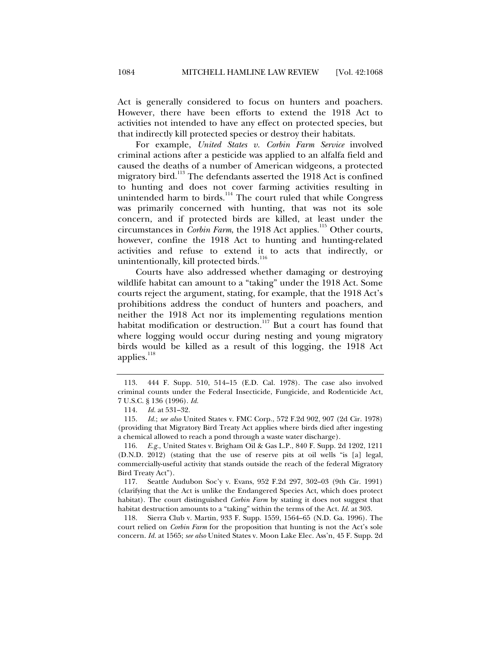Act is generally considered to focus on hunters and poachers. However, there have been efforts to extend the 1918 Act to activities not intended to have any effect on protected species, but that indirectly kill protected species or destroy their habitats.

For example, *United States v. Corbin Farm Service* involved criminal actions after a pesticide was applied to an alfalfa field and caused the deaths of a number of American widgeons, a protected migratory bird.<sup>113</sup> The defendants asserted the 1918 Act is confined to hunting and does not cover farming activities resulting in unintended harm to birds.<sup>114</sup> The court ruled that while Congress was primarily concerned with hunting, that was not its sole concern, and if protected birds are killed, at least under the circumstances in *Corbin Farm*, the 1918 Act applies.<sup>115</sup> Other courts, however, confine the 1918 Act to hunting and hunting-related activities and refuse to extend it to acts that indirectly, or unintentionally, kill protected birds. $^{116}$ 

Courts have also addressed whether damaging or destroying wildlife habitat can amount to a "taking" under the 1918 Act. Some courts reject the argument, stating, for example, that the 1918 Act's prohibitions address the conduct of hunters and poachers, and neither the 1918 Act nor its implementing regulations mention habitat modification or destruction.<sup>117</sup> But a court has found that where logging would occur during nesting and young migratory birds would be killed as a result of this logging, the 1918 Act applies. $118$ 

 117. Seattle Audubon Soc'y v. Evans, 952 F.2d 297, 302–03 (9th Cir. 1991) (clarifying that the Act is unlike the Endangered Species Act, which does protect habitat). The court distinguished *Corbin Farm* by stating it does not suggest that habitat destruction amounts to a "taking" within the terms of the Act. *Id.* at 303.

 118. Sierra Club v. Martin, 933 F. Supp. 1559, 1564–65 (N.D. Ga. 1996). The court relied on *Corbin Farm* for the proposition that hunting is not the Act's sole concern. *Id.* at 1565; *see also* United States v. Moon Lake Elec. Ass'n, 45 F. Supp. 2d

 <sup>113. 444</sup> F. Supp. 510, 514–15 (E.D. Cal. 1978). The case also involved criminal counts under the Federal Insecticide, Fungicide, and Rodenticide Act, 7 U.S.C. § 136 (1996). *Id.*

 <sup>114.</sup> *Id.* at 531–32.

 <sup>115.</sup> *Id.*; *see also* United States v. FMC Corp., 572 F.2d 902, 907 (2d Cir. 1978) (providing that Migratory Bird Treaty Act applies where birds died after ingesting a chemical allowed to reach a pond through a waste water discharge).

 <sup>116.</sup> *E.g.*, United States v. Brigham Oil & Gas L.P., 840 F. Supp. 2d 1202, 1211 (D.N.D. 2012) (stating that the use of reserve pits at oil wells "is [a] legal, commercially-useful activity that stands outside the reach of the federal Migratory Bird Treaty Act").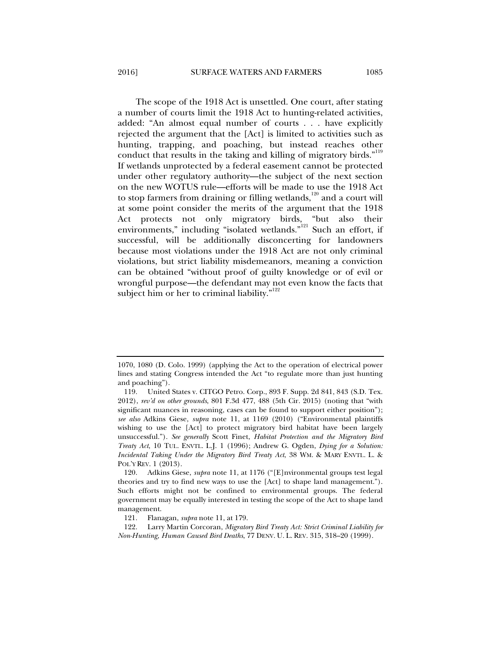The scope of the 1918 Act is unsettled. One court, after stating a number of courts limit the 1918 Act to hunting-related activities, added: "An almost equal number of courts . . . have explicitly rejected the argument that the [Act] is limited to activities such as hunting, trapping, and poaching, but instead reaches other conduct that results in the taking and killing of migratory birds."<sup>119</sup> If wetlands unprotected by a federal easement cannot be protected under other regulatory authority—the subject of the next section on the new WOTUS rule—efforts will be made to use the 1918 Act to stop farmers from draining or filling wetlands, $120$  and a court will at some point consider the merits of the argument that the 1918 Act protects not only migratory birds, "but also their environments," including "isolated wetlands."<sup>121</sup> Such an effort, if successful, will be additionally disconcerting for landowners because most violations under the 1918 Act are not only criminal violations, but strict liability misdemeanors, meaning a conviction can be obtained "without proof of guilty knowledge or of evil or wrongful purpose—the defendant may not even know the facts that subject him or her to criminal liability."<sup>122</sup>

<sup>1070, 1080 (</sup>D. Colo. 1999) (applying the Act to the operation of electrical power lines and stating Congress intended the Act "to regulate more than just hunting and poaching").

 <sup>119.</sup> United States v. CITGO Petro. Corp., 893 F. Supp. 2d 841, 843 (S.D. Tex. 2012), *rev'd on other grounds*, 801 F.3d 477, 488 (5th Cir. 2015) (noting that "with significant nuances in reasoning, cases can be found to support either position"); *see also* Adkins Giese, *supra* note 11, at 1169 (2010) ("Environmental plaintiffs wishing to use the [Act] to protect migratory bird habitat have been largely unsuccessful."). *See generally* Scott Finet, *Habitat Protection and the Migratory Bird Treaty Act*, 10 TUL. ENVTL. L.J. 1 (1996); Andrew G. Ogden, *Dying for a Solution: Incidental Taking Under the Migratory Bird Treaty Act*, 38 WM. & MARY ENVTL. L. & POL'Y REV. 1 (2013).

 <sup>120.</sup> Adkins Giese, *supra* note 11, at 1176 ("[E]nvironmental groups test legal theories and try to find new ways to use the [Act] to shape land management."). Such efforts might not be confined to environmental groups. The federal government may be equally interested in testing the scope of the Act to shape land management.

 <sup>121.</sup> Flanagan, *supra* note 11, at 179.

 <sup>122.</sup> Larry Martin Corcoran, *Migratory Bird Treaty Act: Strict Criminal Liability for Non-Hunting, Human Caused Bird Deaths*, 77 DENV. U. L. REV. 315, 318–20 (1999).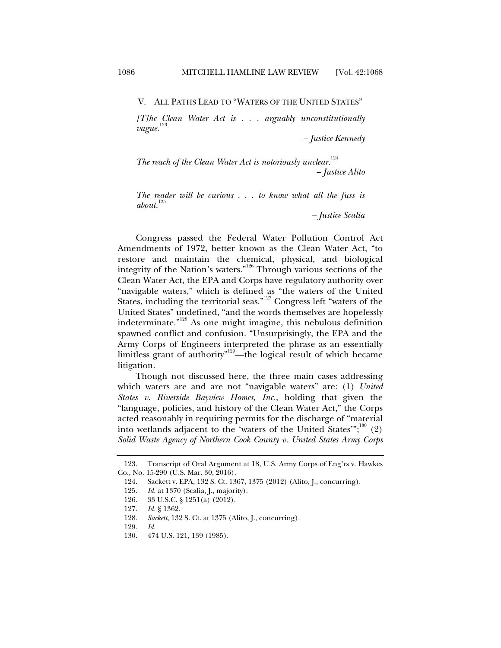V. ALL PATHS LEAD TO "WATERS OF THE UNITED STATES"

*[T]he Clean Water Act is . . . arguably unconstitutionally vague.*<sup>123</sup>

*– Justice Kennedy* 

*The reach of the Clean Water Act is notoriously unclear.*<sup>124</sup> *– Justice Alito* 

*The reader will be curious . . . to know what all the fuss is*  about.<sup>12</sup>

*– Justice Scalia* 

Congress passed the Federal Water Pollution Control Act Amendments of 1972, better known as the Clean Water Act, "to restore and maintain the chemical, physical, and biological integrity of the Nation's waters."126 Through various sections of the Clean Water Act, the EPA and Corps have regulatory authority over "navigable waters," which is defined as "the waters of the United States, including the territorial seas."<sup>127</sup> Congress left "waters of the United States" undefined, "and the words themselves are hopelessly indeterminate."128 As one might imagine, this nebulous definition spawned conflict and confusion. "Unsurprisingly, the EPA and the Army Corps of Engineers interpreted the phrase as an essentially limitless grant of authority"129—the logical result of which became litigation.

Though not discussed here, the three main cases addressing which waters are and are not "navigable waters" are: (1) *United States v. Riverside Bayview Homes, Inc.*, holding that given the "language, policies, and history of the Clean Water Act," the Corps acted reasonably in requiring permits for the discharge of "material into wetlands adjacent to the 'waters of the United States'";<sup>130</sup> (2) *Solid Waste Agency of Northern Cook County v. United States Army Corps* 

 <sup>123.</sup> Transcript of Oral Argument at 18, U.S. Army Corps of Eng'rs v. Hawkes Co., No. 15-290 (U.S. Mar. 30, 2016).

 <sup>124.</sup> Sackett v. EPA, 132 S. Ct. 1367, 1375 (2012) (Alito, J., concurring).

 <sup>125.</sup> *Id.* at 1370 (Scalia, J., majority).

 <sup>126. 33</sup> U.S.C. § 1251(a) (2012).

 <sup>127.</sup> *Id.* § 1362.

 <sup>128.</sup> *Sackett*, 132 S. Ct. at 1375 (Alito, J., concurring).

 <sup>129.</sup> *Id.*

 <sup>130. 474</sup> U.S. 121, 139 (1985).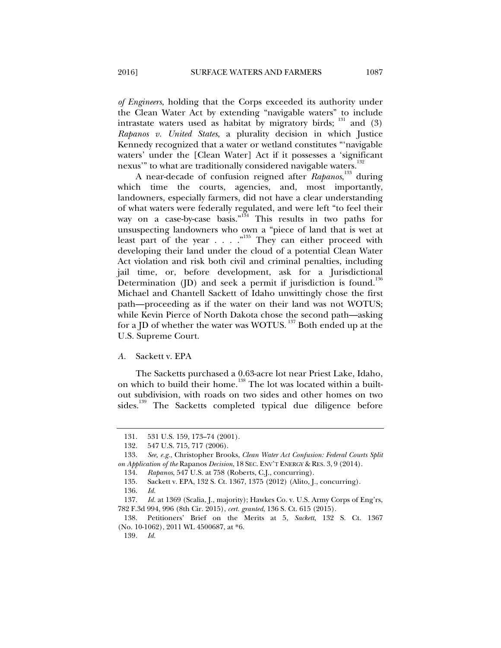*of Engineers*, holding that the Corps exceeded its authority under the Clean Water Act by extending "navigable waters" to include intrastate waters used as habitat by migratory birds;  $^{131}$  and (3) *Rapanos v. United States*, a plurality decision in which Justice Kennedy recognized that a water or wetland constitutes "'navigable waters' under the [Clean Water] Act if it possesses a 'significant nexus" to what are traditionally considered navigable waters.<sup>132</sup>

A near-decade of confusion reigned after *Rapanos*, 133 during which time the courts, agencies, and, most importantly, landowners, especially farmers, did not have a clear understanding of what waters were federally regulated, and were left "to feel their way on a case-by-case basis."<sup>134</sup> This results in two paths for unsuspecting landowners who own a "piece of land that is wet at least part of the year  $\ldots$  . . . . . . They can either proceed with developing their land under the cloud of a potential Clean Water Act violation and risk both civil and criminal penalties, including jail time, or, before development, ask for a Jurisdictional Determination (JD) and seek a permit if jurisdiction is found.<sup>136</sup> Michael and Chantell Sackett of Idaho unwittingly chose the first path—proceeding as if the water on their land was not WOTUS; while Kevin Pierce of North Dakota chose the second path—asking for a JD of whether the water was WOTUS. 137 Both ended up at the U.S. Supreme Court.

#### *A.* Sackett v. EPA

The Sacketts purchased a 0.63-acre lot near Priest Lake, Idaho, on which to build their home.<sup>138</sup> The lot was located within a builtout subdivision, with roads on two sides and other homes on two sides.<sup>139</sup> The Sacketts completed typical due diligence before

<sup>131. 531</sup> U.S. 159, 173–74 (2001).<br>132. 547 U.S. 715, 717 (2006).

<sup>547</sup> U.S. 715, 717 (2006).

 <sup>133.</sup> *See, e.g.*, Christopher Brooks, *Clean Water Act Confusion: Federal Courts Split on Application of the* Rapanos *Decision*, 18 SEC. ENV'T ENERGY & RES. 3, 9 (2014).

 <sup>134.</sup> *Rapanos*, 547 U.S. at 758 (Roberts, C.J., concurring).

 <sup>135.</sup> Sackett v. EPA, 132 S. Ct. 1367, 1375 (2012) (Alito, J., concurring).

 <sup>136.</sup> *Id.*

 <sup>137.</sup> *Id.* at 1369 (Scalia, J., majority); Hawkes Co. v. U.S. Army Corps of Eng'rs, 782 F.3d 994, 996 (8th Cir. 2015), *cert. granted*, 136 S. Ct. 615 (2015).

 <sup>138.</sup> Petitioners' Brief on the Merits at 5, *Sackett*, 132 S. Ct. 1367 (No. 10-1062), 2011 WL 4500687, at \*6.

<sup>139</sup>*. Id.*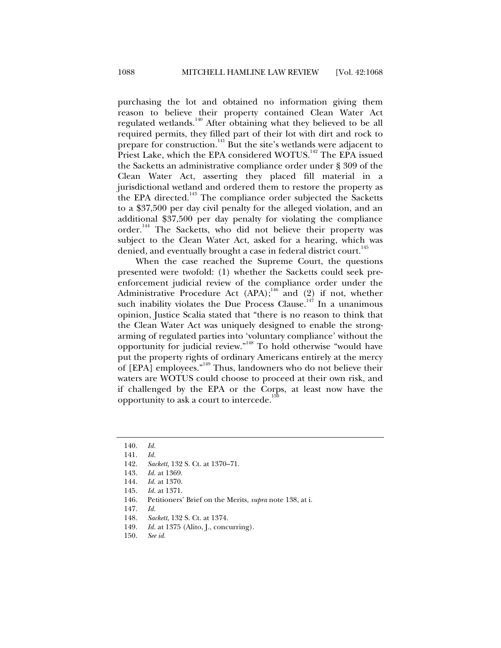purchasing the lot and obtained no information giving them reason to believe their property contained Clean Water Act regulated wetlands.<sup>140</sup> After obtaining what they believed to be all required permits, they filled part of their lot with dirt and rock to prepare for construction.<sup>141</sup> But the site's wetlands were adjacent to Priest Lake, which the EPA considered WOTUS.<sup>142</sup> The EPA issued the Sacketts an administrative compliance order under § 309 of the Clean Water Act, asserting they placed fill material in a jurisdictional wetland and ordered them to restore the property as the EPA directed.<sup>143</sup> The compliance order subjected the Sacketts to a \$37,500 per day civil penalty for the alleged violation, and an additional \$37,500 per day penalty for violating the compliance order.<sup>144</sup> The Sacketts, who did not believe their property was subject to the Clean Water Act, asked for a hearing, which was denied, and eventually brought a case in federal district court.<sup>145</sup>

When the case reached the Supreme Court, the questions presented were twofold: (1) whether the Sacketts could seek preenforcement judicial review of the compliance order under the Administrative Procedure Act  $(APA);$ <sup>46</sup> and  $(2)$  if not, whether such inability violates the Due Process Clause.<sup>147</sup> In a unanimous opinion, Justice Scalia stated that "there is no reason to think that the Clean Water Act was uniquely designed to enable the strongarming of regulated parties into 'voluntary compliance' without the opportunity for judicial review."<sup>148</sup> To hold otherwise "would have put the property rights of ordinary Americans entirely at the mercy of  $[EPA]$  employees."<sup>149</sup> Thus, landowners who do not believe their waters are WOTUS could choose to proceed at their own risk, and if challenged by the EPA or the Corps, at least now have the opportunity to ask a court to intercede. $\overline{1}$ 

146. Petitioners' Brief on the Merits, *supra* note 138, at i.

- 149. *Id.* at 1375 (Alito, J., concurring).
- 150. *See id.*

 <sup>140.</sup> *Id.*

 <sup>141.</sup> *Id.*

 <sup>142.</sup> *Sackett*, 132 S. Ct. at 1370–71.

 <sup>143.</sup> *Id.* at 1369.

 <sup>144.</sup> *Id.* at 1370.

 <sup>145.</sup> *Id.* at 1371.

 <sup>147.</sup> *Id.*

 <sup>148.</sup> *Sackett*, 132 S. Ct. at 1374.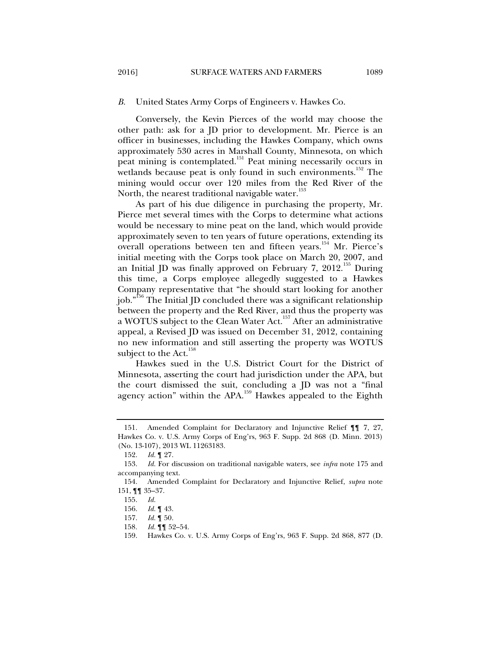Conversely, the Kevin Pierces of the world may choose the other path: ask for a JD prior to development. Mr. Pierce is an officer in businesses, including the Hawkes Company, which owns approximately 530 acres in Marshall County, Minnesota, on which peat mining is contemplated.<sup>151</sup> Peat mining necessarily occurs in wetlands because peat is only found in such environments.<sup>152</sup> The mining would occur over 120 miles from the Red River of the North, the nearest traditional navigable water.<sup>153</sup>

As part of his due diligence in purchasing the property, Mr. Pierce met several times with the Corps to determine what actions would be necessary to mine peat on the land, which would provide approximately seven to ten years of future operations, extending its overall operations between ten and fifteen years.<sup>154</sup> Mr. Pierce's initial meeting with the Corps took place on March 20, 2007, and an Initial JD was finally approved on February 7, 2012.<sup>155</sup> During this time, a Corps employee allegedly suggested to a Hawkes Company representative that "he should start looking for another job."<sup>156</sup> The Initial JD concluded there was a significant relationship between the property and the Red River, and thus the property was a WOTUS subject to the Clean Water Act.157 After an administrative appeal, a Revised JD was issued on December 31, 2012, containing no new information and still asserting the property was WOTUS subject to the Act. $158$ 

Hawkes sued in the U.S. District Court for the District of Minnesota, asserting the court had jurisdiction under the APA, but the court dismissed the suit, concluding a JD was not a "final agency action" within the APA.<sup>159</sup> Hawkes appealed to the Eighth

 <sup>151.</sup> Amended Complaint for Declaratory and Injunctive Relief ¶¶ 7, 27, Hawkes Co. v. U.S. Army Corps of Eng'rs, 963 F. Supp. 2d 868 (D. Minn. 2013) (No. 13-107), 2013 WL 11263183.

 <sup>152.</sup> *Id.* ¶ 27.

 <sup>153.</sup> *Id.* For discussion on traditional navigable waters, see *infra* note 175 and accompanying text.

 <sup>154.</sup> Amended Complaint for Declaratory and Injunctive Relief, *supra* note 151, ¶¶ 35–37.

 <sup>155.</sup> *Id.*

 <sup>156.</sup> *Id.* ¶ 43.

 <sup>157.</sup> *Id.* ¶ 50.

<sup>158</sup>*. Id.* ¶¶ 52–54.

 <sup>159.</sup> Hawkes Co. v. U.S. Army Corps of Eng'rs, 963 F. Supp. 2d 868, 877 (D.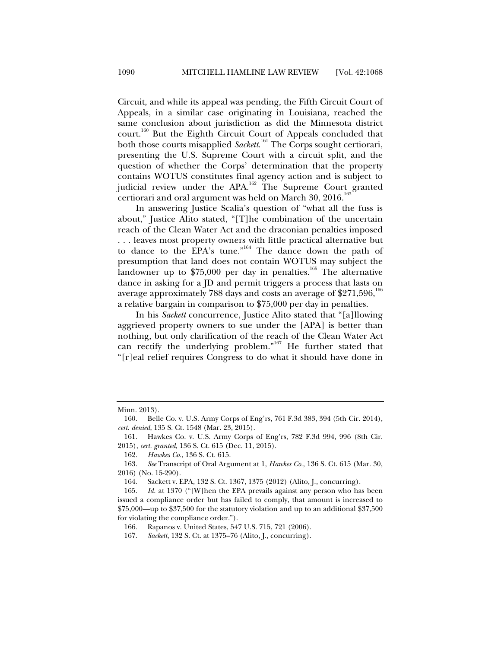Circuit, and while its appeal was pending, the Fifth Circuit Court of Appeals, in a similar case originating in Louisiana, reached the same conclusion about jurisdiction as did the Minnesota district court.160 But the Eighth Circuit Court of Appeals concluded that both those courts misapplied *Sackett*. 161 The Corps sought certiorari, presenting the U.S. Supreme Court with a circuit split, and the question of whether the Corps' determination that the property contains WOTUS constitutes final agency action and is subject to judicial review under the APA.<sup>162</sup> The Supreme Court granted certiorari and oral argument was held on March  $30, 2016$ .<sup>16</sup>

In answering Justice Scalia's question of "what all the fuss is about," Justice Alito stated, "[T]he combination of the uncertain reach of the Clean Water Act and the draconian penalties imposed . . . leaves most property owners with little practical alternative but to dance to the EPA's tune."<sup>164</sup> The dance down the path of presumption that land does not contain WOTUS may subject the landowner up to \$75,000 per day in penalties.<sup>165</sup> The alternative dance in asking for a JD and permit triggers a process that lasts on average approximately 788 days and costs an average of \$271,596,<sup>1</sup> a relative bargain in comparison to \$75,000 per day in penalties.

In his *Sackett* concurrence, Justice Alito stated that "[a]llowing aggrieved property owners to sue under the [APA] is better than nothing, but only clarification of the reach of the Clean Water Act can rectify the underlying problem."<sup>167</sup> He further stated that "[r]eal relief requires Congress to do what it should have done in

Minn. 2013).

 <sup>160.</sup> Belle Co. v. U.S. Army Corps of Eng'rs, 761 F.3d 383, 394 (5th Cir. 2014), *cert. denied*, 135 S. Ct. 1548 (Mar. 23, 2015).

 <sup>161.</sup> Hawkes Co. v. U.S. Army Corps of Eng'rs, 782 F.3d 994, 996 (8th Cir. 2015), *cert. granted*, 136 S. Ct. 615 (Dec. 11, 2015).

 <sup>162.</sup> *Hawkes Co.*, 136 S. Ct. 615.

 <sup>163.</sup> *See* Transcript of Oral Argument at 1, *Hawkes Co.*, 136 S. Ct. 615 (Mar. 30, 2016) (No. 15-290).

 <sup>164.</sup> Sackett v. EPA, 132 S. Ct. 1367, 1375 (2012) (Alito, J., concurring).

 <sup>165.</sup> *Id.* at 1370 ("[W]hen the EPA prevails against any person who has been issued a compliance order but has failed to comply, that amount is increased to \$75,000—up to \$37,500 for the statutory violation and up to an additional \$37,500 for violating the compliance order.").

 <sup>166.</sup> Rapanos v. United States, 547 U.S. 715, 721 (2006).

 <sup>167.</sup> *Sackett*, 132 S. Ct. at 1375–76 (Alito, J., concurring).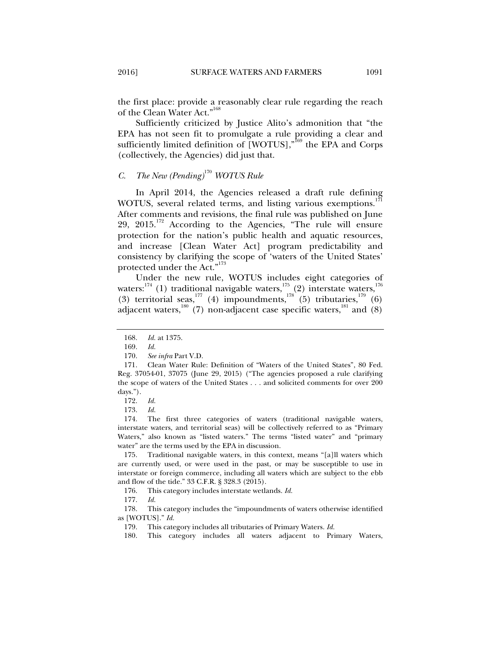the first place: provide a reasonably clear rule regarding the reach of the Clean Water Act."<sup>168</sup>

Sufficiently criticized by Justice Alito's admonition that "the EPA has not seen fit to promulgate a rule providing a clear and sufficiently limited definition of  $[WOTUS]$ ,<sup> $*$ 169</sup> the EPA and Corps (collectively, the Agencies) did just that.

## *C. The New (Pending)*<sup>170</sup> *WOTUS Rule*

In April 2014, the Agencies released a draft rule defining WOTUS, several related terms, and listing various exemptions.<sup>1</sup> After comments and revisions, the final rule was published on June 29,  $2015$ .<sup>172</sup> According to the Agencies, "The rule will ensure protection for the nation's public health and aquatic resources, and increase [Clean Water Act] program predictability and consistency by clarifying the scope of 'waters of the United States' protected under the Act."<sup>173</sup>

Under the new rule, WOTUS includes eight categories of waters:<sup>174</sup> (1) traditional navigable waters,<sup>175</sup> (2) interstate waters,<sup>176</sup> (3) territorial seas,<sup>177</sup> (4) impoundments,<sup>178</sup> (5) tributaries,<sup>179</sup> (6) adjacent waters,<sup>180</sup> (7) non-adjacent case specific waters,<sup>181</sup> and (8)

173. *Id.*

 174. The first three categories of waters (traditional navigable waters, interstate waters, and territorial seas) will be collectively referred to as "Primary Waters," also known as "listed waters." The terms "listed water" and "primary water" are the terms used by the EPA in discussion.

 175. Traditional navigable waters, in this context, means "[a]ll waters which are currently used, or were used in the past, or may be susceptible to use in interstate or foreign commerce, including all waters which are subject to the ebb and flow of the tide." 33 C.F.R. § 328.3 (2015).

176. This category includes interstate wetlands. *Id.*

177. *Id.*

 178. This category includes the "impoundments of waters otherwise identified as [WOTUS]." *Id.*

 <sup>168.</sup> *Id.* at 1375.

 <sup>169.</sup> *Id.* 

 <sup>170.</sup> *See infra* Part V.D.

 <sup>171.</sup> Clean Water Rule: Definition of "Waters of the United States", 80 Fed. Reg. 37054-01, 37075 (June 29, 2015) ("The agencies proposed a rule clarifying the scope of waters of the United States . . . and solicited comments for over 200 days.").

 <sup>172.</sup> *Id.*

 <sup>179.</sup> This category includes all tributaries of Primary Waters. *Id.*

 <sup>180.</sup> This category includes all waters adjacent to Primary Waters,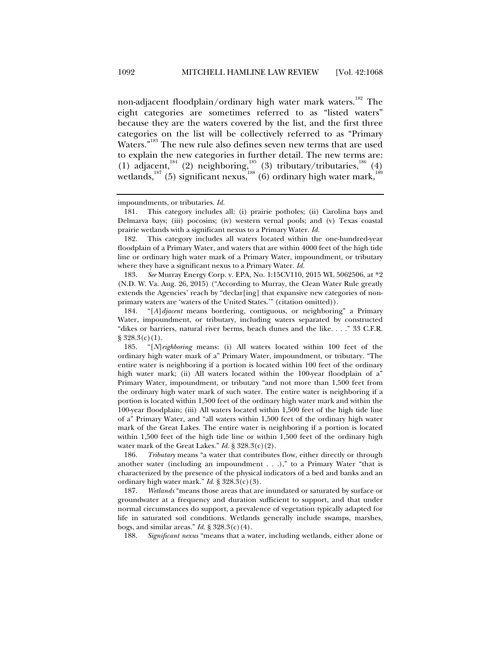non-adjacent floodplain/ordinary high water mark waters.<sup>182</sup> The eight categories are sometimes referred to as "listed waters" because they are the waters covered by the list, and the first three categories on the list will be collectively referred to as "Primary Waters."<sup>183</sup> The new rule also defines seven new terms that are used to explain the new categories in further detail. The new terms are: (1) adjacent,<sup>184</sup> (2) neighboring,<sup>185</sup> (3) tributary/tributaries,<sup>186</sup> (4) wetlands, $^{187}$  (5) significant nexus, $^{188}$  (6) ordinary high water mark, $^{189}$ 

impoundments, or tributaries. *Id.*

 <sup>181.</sup> This category includes all: (i) prairie potholes; (ii) Carolina bays and Delmarva bays; (iii) pocosins; (iv) western vernal pools; and (v) Texas coastal prairie wetlands with a significant nexus to a Primary Water. *Id.*

 <sup>182.</sup> This category includes all waters located within the one-hundred-year floodplain of a Primary Water, and waters that are within 4000 feet of the high tide line or ordinary high water mark of a Primary Water, impoundment, or tributary where they have a significant nexus to a Primary Water. *Id.*

 <sup>183.</sup> *See* Murray Energy Corp. v. EPA, No. 1:15CV110, 2015 WL 5062506, at \*2 (N.D. W. Va. Aug. 26, 2015) ("According to Murray, the Clean Water Rule greatly extends the Agencies' reach by "declar[ing] that expansive new categories of nonprimary waters are 'waters of the United States.'" (citation omitted)).

 <sup>184. &</sup>quot;[*A*]*djacent* means bordering, contiguous, or neighboring" a Primary Water, impoundment, or tributary, including waters separated by constructed "dikes or barriers, natural river berms, beach dunes and the like. . . ." 33 C.F.R.  $§ 328.3(c)(1).$ 

 <sup>185. &</sup>quot;[*N*]*eighboring* means: (i) All waters located within 100 feet of the ordinary high water mark of a" Primary Water, impoundment, or tributary. "The entire water is neighboring if a portion is located within 100 feet of the ordinary high water mark; (ii) All waters located within the 100-year floodplain of a" Primary Water, impoundment, or tributary "and not more than 1,500 feet from the ordinary high water mark of such water. The entire water is neighboring if a portion is located within 1,500 feet of the ordinary high water mark and within the 100-year floodplain; (iii) All waters located within 1,500 feet of the high tide line of a" Primary Water, and "all waters within 1,500 feet of the ordinary high water mark of the Great Lakes. The entire water is neighboring if a portion is located within 1,500 feet of the high tide line or within 1,500 feet of the ordinary high water mark of the Great Lakes." *Id.* § 328.3(c)(2).

 <sup>186.</sup> *Tributary* means "a water that contributes flow, either directly or through another water (including an impoundment . . .)," to a Primary Water "that is characterized by the presence of the physical indicators of a bed and banks and an ordinary high water mark." *Id.* § 328.3(c)(3).

 <sup>187.</sup> *Wetlands* "means those areas that are inundated or saturated by surface or groundwater at a frequency and duration sufficient to support, and that under normal circumstances do support, a prevalence of vegetation typically adapted for life in saturated soil conditions. Wetlands generally include swamps, marshes, bogs, and similar areas." *Id.* § 328.3(c)(4).

 <sup>188.</sup> *Significant nexus* "means that a water, including wetlands, either alone or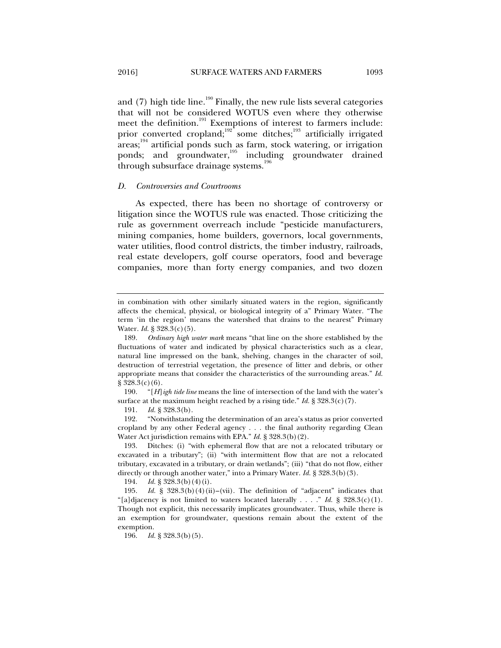and  $(7)$  high tide line.<sup>190</sup> Finally, the new rule lists several categories that will not be considered WOTUS even where they otherwise meet the definition.<sup>191</sup> Exemptions of interest to farmers include: prior converted cropland;<sup>192</sup> some ditches;<sup>193</sup> artificially irrigated  $\arccos$ ;<sup>194</sup> artificial ponds such as farm, stock watering, or irrigation ponds; and groundwater,<sup>195</sup> including groundwater drained through subsurface drainage systems.<sup>196</sup>

#### *D. Controversies and Courtrooms*

As expected, there has been no shortage of controversy or litigation since the WOTUS rule was enacted. Those criticizing the rule as government overreach include "pesticide manufacturers, mining companies, home builders, governors, local governments, water utilities, flood control districts, the timber industry, railroads, real estate developers, golf course operators, food and beverage companies, more than forty energy companies, and two dozen

in combination with other similarly situated waters in the region, significantly affects the chemical, physical, or biological integrity of a" Primary Water. "The term 'in the region' means the watershed that drains to the nearest" Primary Water. *Id.* § 328.3(c)(5).

 <sup>189.</sup> *Ordinary high water mark* means "that line on the shore established by the fluctuations of water and indicated by physical characteristics such as a clear, natural line impressed on the bank, shelving, changes in the character of soil, destruction of terrestrial vegetation, the presence of litter and debris, or other appropriate means that consider the characteristics of the surrounding areas." *Id.*  $§ 328.3(c)(6).$ 

 <sup>190. &</sup>quot;[*H*]*igh tide line* means the line of intersection of the land with the water's surface at the maximum height reached by a rising tide." *Id.* § 328.3(c)(7).

 <sup>191.</sup> *Id.* § 328.3(b).

 <sup>192. &</sup>quot;Notwithstanding the determination of an area's status as prior converted cropland by any other Federal agency . . . the final authority regarding Clean Water Act jurisdiction remains with EPA." *Id.* § 328.3(b)(2).

 <sup>193.</sup> Ditches: (i) "with ephemeral flow that are not a relocated tributary or excavated in a tributary"; (ii) "with intermittent flow that are not a relocated tributary, excavated in a tributary, or drain wetlands"; (iii) "that do not flow, either directly or through another water," into a Primary Water. *Id.* § 328.3(b)(3).

 <sup>194.</sup> *Id.* § 328.3(b)(4)(i).

 <sup>195.</sup> *Id.* § 328.3(b)(4)(ii)–(vii). The definition of "adjacent" indicates that "[a]djacency is not limited to waters located laterally . . . ." *Id.* § 328.3(c)(1). Though not explicit, this necessarily implicates groundwater. Thus, while there is an exemption for groundwater, questions remain about the extent of the exemption.

 <sup>196.</sup> *Id.* § 328.3(b)(5).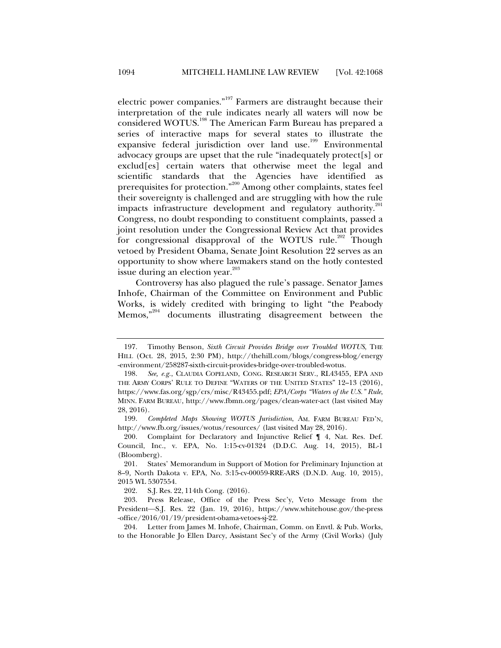electric power companies."197 Farmers are distraught because their interpretation of the rule indicates nearly all waters will now be considered WOTUS.198 The American Farm Bureau has prepared a series of interactive maps for several states to illustrate the expansive federal jurisdiction over land use.<sup>199</sup> Environmental advocacy groups are upset that the rule "inadequately protect[s] or exclud[es] certain waters that otherwise meet the legal and scientific standards that the Agencies have identified as prerequisites for protection."200 Among other complaints, states feel their sovereignty is challenged and are struggling with how the rule impacts infrastructure development and regulatory authority.<sup>201</sup> Congress, no doubt responding to constituent complaints, passed a joint resolution under the Congressional Review Act that provides for congressional disapproval of the WOTUS rule.<sup>202</sup> Though vetoed by President Obama, Senate Joint Resolution 22 serves as an opportunity to show where lawmakers stand on the hotly contested issue during an election year.<sup>203</sup>

Controversy has also plagued the rule's passage. Senator James Inhofe, Chairman of the Committee on Environment and Public Works, is widely credited with bringing to light "the Peabody Memos,"204 documents illustrating disagreement between the

 <sup>197.</sup> Timothy Benson, *Sixth Circuit Provides Bridge over Troubled WOTUS*, THE HILL (Oct. 28, 2015, 2:30 PM), http://thehill.com/blogs/congress-blog/energy -environment/258287-sixth-circuit-provides-bridge-over-troubled-wotus.

 <sup>198.</sup> *See, e.g.*, CLAUDIA COPELAND, CONG. RESEARCH SERV., RL43455, EPA AND THE ARMY CORPS' RULE TO DEFINE "WATERS OF THE UNITED STATES" 12–13 (2016), https://www.fas.org/sgp/crs/misc/R43455.pdf; *EPA/Corps "Waters of the U.S." Rule*, MINN. FARM BUREAU, http://www.fbmn.org/pages/clean-water-act (last visited May 28, 2016).

 <sup>199.</sup> *Completed Maps Showing WOTUS Jurisdiction*, AM. FARM BUREAU FED'N, http://www.fb.org/issues/wotus/resources/ (last visited May 28, 2016).

 <sup>200.</sup> Complaint for Declaratory and Injunctive Relief ¶ 4, Nat. Res. Def. Council, Inc., v. EPA, No. 1:15-cv-01324 (D.D.C. Aug. 14, 2015), BL-1 (Bloomberg).

 <sup>201.</sup> States' Memorandum in Support of Motion for Preliminary Injunction at 8–9*,* North Dakota v. EPA, No. 3:15-cv-00059-RRE-ARS (D.N.D. Aug. 10, 2015), 2015 WL 5307554.

 <sup>202.</sup> S.J. Res. 22, 114th Cong. (2016).

 <sup>203.</sup> Press Release, Office of the Press Sec'y, Veto Message from the President-S.J. Res. 22 (Jan. 19, 2016), https://www.whitehouse.gov/the-press -office/2016/01/19/president-obama-vetoes-sj-22.

 <sup>204.</sup> Letter from James M. Inhofe, Chairman, Comm. on Envtl. & Pub. Works, to the Honorable Jo Ellen Darcy, Assistant Sec'y of the Army (Civil Works) (July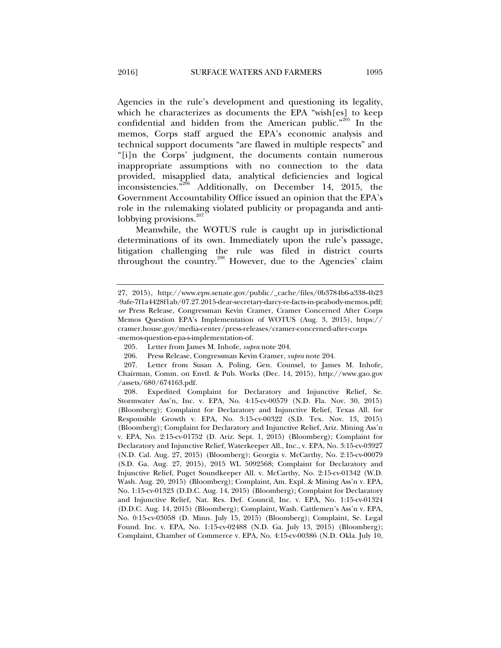Agencies in the rule's development and questioning its legality, which he characterizes as documents the EPA "wish[es] to keep confidential and hidden from the American public."205 In the memos, Corps staff argued the EPA's economic analysis and technical support documents "are flawed in multiple respects" and "[i]n the Corps' judgment, the documents contain numerous inappropriate assumptions with no connection to the data provided, misapplied data, analytical deficiencies and logical inconsistencies."206 Additionally, on December 14, 2015, the Government Accountability Office issued an opinion that the EPA's role in the rulemaking violated publicity or propaganda and antilobbying provisions. $207$ 

Meanwhile, the WOTUS rule is caught up in jurisdictional determinations of its own. Immediately upon the rule's passage, litigation challenging the rule was filed in district courts throughout the country.<sup>208</sup> However, due to the Agencies' claim

<sup>27, 2015),</sup> http://www.epw.senate.gov/public/\_cache/files/0b3784b6-a338-4b23 -9afe-7f1a4428f1ab/07.27.2015-dear-secretary-darcy-re-facts-in-peabody-memos.pdf; *see* Press Release, Congressman Kevin Cramer, Cramer Concerned After Corps Memos Question EPA's Implementation of WOTUS (Aug. 3, 2015), https:// cramer.house.gov/media-center/press-releases/cramer-concerned-after-corps -memos-question-epa-s-implementation-of.

 <sup>205.</sup> Letter from James M. Inhofe, *supra* note 204.

 <sup>206.</sup> Press Release, Congressman Kevin Cramer, *supra* note 204.

 <sup>207.</sup> Letter from Susan A. Poling, Gen. Counsel, to James M. Inhofe, Chairman, Comm. on Envtl. & Pub. Works (Dec. 14, 2015), http://www.gao.gov /assets/680/674163.pdf.

 <sup>208.</sup> Expedited Complaint for Declaratory and Injunctive Relief, Se. Stormwater Ass'n, Inc. v. EPA, No. 4:15-cv-00579 (N.D. Fla. Nov. 30, 2015) (Bloomberg); Complaint for Declaratory and Injunctive Relief, Texas All. for Responsible Growth v. EPA, No. 3:15-cv-00322 (S.D. Tex. Nov. 13, 2015) (Bloomberg); Complaint for Declaratory and Injunctive Relief, Ariz. Mining Ass'n v. EPA, No. 2:15-cv-01752 (D. Ariz. Sept. 1, 2015) (Bloomberg); Complaint for Declaratory and Injunctive Relief, Waterkeeper All., Inc., v. EPA, No. 3:15-cv-03927 (N.D. Cal. Aug. 27, 2015) (Bloomberg); Georgia v. McCarthy, No. 2:15-cv-00079 (S.D. Ga. Aug. 27, 2015), 2015 WL 5092568; Complaint for Declaratory and Injunctive Relief, Puget Soundkeeper All. v. McCarthy, No. 2:15-cv-01342 (W.D. Wash. Aug. 20, 2015) (Bloomberg); Complaint, Am. Expl. & Mining Ass'n v. EPA, No. 1:15-cv-01323 (D.D.C. Aug. 14, 2015) (Bloomberg); Complaint for Declaratory and Injunctive Relief, Nat. Res. Def. Council, Inc. v. EPA, No. 1:15-cv-01324 (D.D.C. Aug. 14, 2015) (Bloomberg); Complaint, Wash. Cattlemen's Ass'n v. EPA, No. 0:15-cv-03058 (D. Minn. July 15, 2015) (Bloomberg); Complaint, Se. Legal Found. Inc. v. EPA, No. 1:15-cv-02488 (N.D. Ga. July 13, 2015) (Bloomberg); Complaint, Chamber of Commerce v. EPA, No. 4:15-cv-00386 (N.D. Okla. July 10,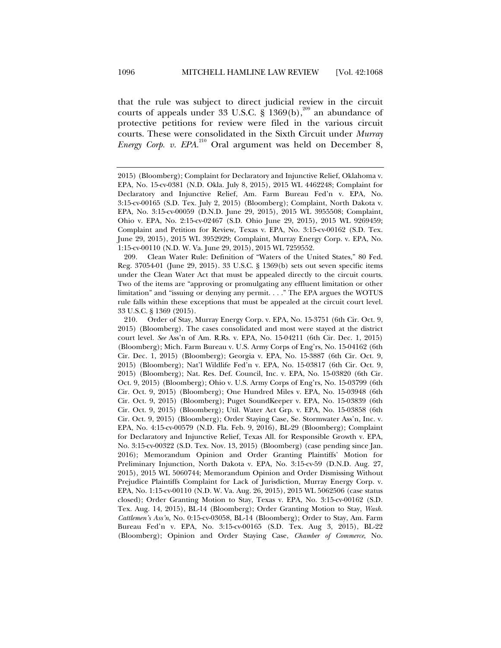that the rule was subject to direct judicial review in the circuit courts of appeals under 33 U.S.C.  $\frac{8}{3}$  1369(b),<sup>209</sup> an abundance of protective petitions for review were filed in the various circuit courts. These were consolidated in the Sixth Circuit under *Murray Energy Corp. v. EPA*. 210 Oral argument was held on December 8,

 209. Clean Water Rule: Definition of "Waters of the United States," 80 Fed. Reg. 37054-01 (June 29, 2015). 33 U.S.C. § 1369(b) sets out seven specific items under the Clean Water Act that must be appealed directly to the circuit courts. Two of the items are "approving or promulgating any effluent limitation or other limitation" and "issuing or denying any permit. . . ." The EPA argues the WOTUS rule falls within these exceptions that must be appealed at the circuit court level. 33 U.S.C. § 1369 (2015).

 210. Order of Stay, Murray Energy Corp. v. EPA, No. 15-3751 (6th Cir. Oct. 9, 2015) (Bloomberg). The cases consolidated and most were stayed at the district court level. *See* Ass'n of Am. R.Rs. v. EPA, No. 15-04211 (6th Cir. Dec. 1, 2015) (Bloomberg); Mich. Farm Bureau v. U.S. Army Corps of Eng'rs, No. 15-04162 (6th Cir. Dec. 1, 2015) (Bloomberg); Georgia v. EPA, No. 15-3887 (6th Cir. Oct. 9, 2015) (Bloomberg); Nat'l Wildlife Fed'n v. EPA, No. 15-03817 (6th Cir. Oct. 9, 2015) (Bloomberg); Nat. Res. Def. Council, Inc. v. EPA, No. 15-03820 (6th Cir. Oct. 9, 2015) (Bloomberg); Ohio v. U.S. Army Corps of Eng'rs, No. 15-03799 (6th Cir. Oct. 9, 2015) (Bloomberg); One Hundred Miles v. EPA, No. 15-03948 (6th Cir. Oct. 9, 2015) (Bloomberg); Puget SoundKeeper v. EPA, No. 15-03839 (6th Cir. Oct. 9, 2015) (Bloomberg); Util. Water Act Grp. v. EPA, No. 15-03858 (6th Cir. Oct. 9, 2015) (Bloomberg); Order Staying Case, Se. Stormwater Ass'n, Inc. v. EPA, No. 4:15-cv-00579 (N.D. Fla. Feb. 9, 2016), BL-29 (Bloomberg); Complaint for Declaratory and Injunctive Relief, Texas All. for Responsible Growth v. EPA, No. 3:15-cv-00322 (S.D. Tex. Nov. 13, 2015) (Bloomberg) (case pending since Jan. 2016); Memorandum Opinion and Order Granting Plaintiffs' Motion for Preliminary Injunction, North Dakota v. EPA, No. 3:15-cv-59 (D.N.D. Aug. 27, 2015), 2015 WL 5060744; Memorandum Opinion and Order Dismissing Without Prejudice Plaintiffs Complaint for Lack of Jurisdiction, Murray Energy Corp. v. EPA, No. 1:15-cv-00110 (N.D. W. Va. Aug. 26, 2015), 2015 WL 5062506 (case status closed); Order Granting Motion to Stay, Texas v. EPA, No. 3:15-cv-00162 (S.D. Tex. Aug. 14, 2015), BL-14 (Bloomberg); Order Granting Motion to Stay, *Wash. Cattlemen's Ass'n*, No. 0:15-cv-03058, BL-14 (Bloomberg); Order to Stay, Am. Farm Bureau Fed'n v. EPA, No. 3:15-cv-00165 (S.D. Tex. Aug 3, 2015), BL-22 (Bloomberg); Opinion and Order Staying Case, *Chamber of Commerce*, No.

<sup>2015) (</sup>Bloomberg); Complaint for Declaratory and Injunctive Relief, Oklahoma v. EPA, No. 15-cv-0381 (N.D. Okla. July 8, 2015), 2015 WL 4462248; Complaint for Declaratory and Injunctive Relief, Am. Farm Bureau Fed'n v. EPA, No. 3:15-cv-00165 (S.D. Tex. July 2, 2015) (Bloomberg); Complaint, North Dakota v. EPA, No. 3:15-cv-00059 (D.N.D. June 29, 2015), 2015 WL 3955508; Complaint, Ohio v. EPA, No. 2:15-cv-02467 (S.D. Ohio June 29, 2015), 2015 WL 9269459; Complaint and Petition for Review, Texas v. EPA, No. 3:15-cv-00162 (S.D. Tex. June 29, 2015), 2015 WL 3952929; Complaint, Murray Energy Corp. v. EPA, No. 1:15-cv-00110 (N.D. W. Va. June 29, 2015), 2015 WL 7259552.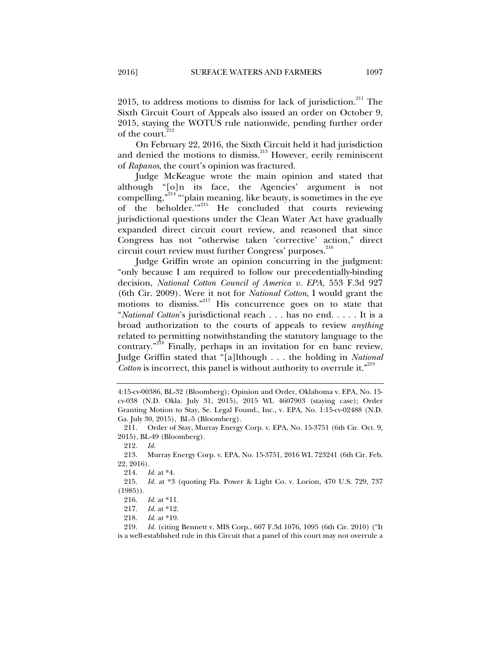2015, to address motions to dismiss for lack of jurisdiction. $2^{11}$  The Sixth Circuit Court of Appeals also issued an order on October 9, 2015, staying the WOTUS rule nationwide, pending further order of the court.<sup>2</sup>

On February 22, 2016, the Sixth Circuit held it had jurisdiction and denied the motions to dismiss.<sup>213</sup> However, eerily reminiscent of *Rapanos*, the court's opinion was fractured.

Judge McKeague wrote the main opinion and stated that although "[o]n its face, the Agencies' argument is not compelling,"<sup>214</sup> "plain meaning, like beauty, is sometimes in the eye of the beholder."<sup>215</sup> He concluded that courts reviewing jurisdictional questions under the Clean Water Act have gradually expanded direct circuit court review, and reasoned that since Congress has not "otherwise taken 'corrective' action," direct circuit court review must further Congress' purposes.<sup>216</sup>

Judge Griffin wrote an opinion concurring in the judgment: "only because I am required to follow our precedentially-binding decision, *National Cotton Council of America v. EPA,* 553 F.3d 927 (6th Cir. 2009). Were it not for *National Cotton*, I would grant the motions to dismiss."217 His concurrence goes on to state that "*National Cotton*'s jurisdictional reach . . . has no end. . . . . It is a broad authorization to the courts of appeals to review *anything* related to permitting notwithstanding the statutory language to the contrary."<sup>218</sup> Finally, perhaps in an invitation for en banc review, Judge Griffin stated that "[a]lthough . . . the holding in *National Cotton* is incorrect, this panel is without authority to overrule it.<sup>"219</sup>

<sup>4:15-</sup>cv-00386, BL-32 (Bloomberg); Opinion and Order, Oklahoma v. EPA, No. 15 cv-038 (N.D. Okla. July 31, 2015), 2015 WL 4607903 (staying case); Order Granting Motion to Stay, Se. Legal Found., Inc., v. EPA, No. 1:15-cv-02488 (N.D. Ga. July 30, 2015), BL-5 (Bloomberg).

 <sup>211.</sup> Order of Stay, Murray Energy Corp. v. EPA, No. 15-3751 (6th Cir. Oct. 9, 2015), BL-49 (Bloomberg).

 <sup>212.</sup> *Id.*

 <sup>213.</sup> Murray Energy Corp. v. EPA, No. 15-3751, 2016 WL 723241 (6th Cir. Feb. 22, 2016).

 <sup>214.</sup> *Id.* at \*4.

 <sup>215.</sup> *Id.* at \*3 (quoting Fla. Power & Light Co. v. Lorion, 470 U.S. 729, 737  $(1985)$ .

 <sup>216.</sup> *Id.* at \*11.

 <sup>217.</sup> *Id.* at \*12.

 <sup>218.</sup> *Id.* at \*19.

 <sup>219.</sup> *Id.* (citing Bennett v. MIS Corp., 607 F.3d 1076, 1095 (6th Cir. 2010) ("It is a well-established rule in this Circuit that a panel of this court may not overrule a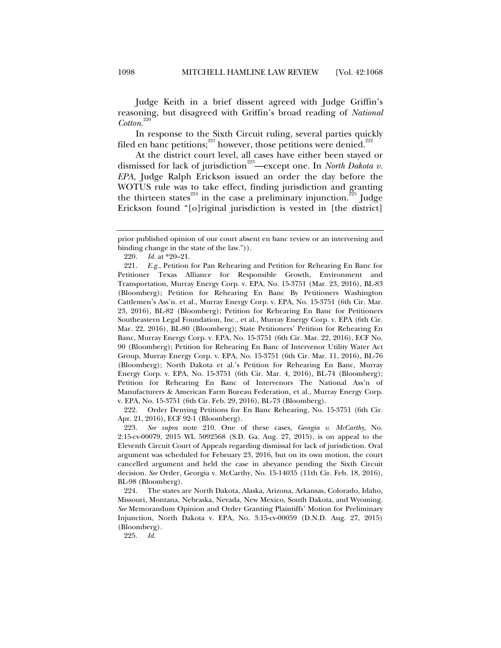Judge Keith in a brief dissent agreed with Judge Griffin's reasoning, but disagreed with Griffin's broad reading of *National Cotton*. 220

In response to the Sixth Circuit ruling, several parties quickly filed en banc petitions;<sup>221</sup> however, those petitions were denied.<sup>222</sup>

At the district court level, all cases have either been stayed or dismissed for lack of jurisdiction<sup>223</sup>—except one. In *North Dakota v*. *EPA,* Judge Ralph Erickson issued an order the day before the WOTUS rule was to take effect, finding jurisdiction and granting the thirteen states<sup>224</sup> in the case a preliminary injunction.<sup>225</sup> Judge Erickson found "[o]riginal jurisdiction is vested in [the district]

 222. Order Denying Petitions for En Banc Rehearing, No. 15-3751 (6th Cir. Apr. 21, 2016), ECF 92-1 (Bloomberg).

 223. *See supra* note 210. One of these cases, *Georgia v. McCarthy*, No. 2:15-cv-00079, 2015 WL 5092568 (S.D. Ga. Aug. 27, 2015), is on appeal to the Eleventh Circuit Court of Appeals regarding dismissal for lack of jurisdiction. Oral argument was scheduled for February 23, 2016, but on its own motion, the court cancelled argument and held the case in abeyance pending the Sixth Circuit decision. *See* Order, Georgia v. McCarthy, No. 15-14035 (11th Cir. Feb. 18, 2016), BL-98 (Bloomberg).

 224. The states are North Dakota, Alaska, Arizona, Arkansas, Colorado, Idaho, Missouri, Montana, Nebraska, Nevada, New Mexico, South Dakota, and Wyoming. *See* Memorandum Opinion and Order Granting Plaintiffs' Motion for Preliminary Injunction, North Dakota v. EPA, No. 3:15-cv-00059 (D.N.D. Aug. 27, 2015) (Bloomberg).

225. *Id.* 

prior published opinion of our court absent en banc review or an intervening and binding change in the state of the law.")).

 <sup>220.</sup> *Id.* at \*20–21.

 <sup>221.</sup> *E.g.*, Petition for Pan Rehearing and Petition for Rehearing En Banc for Petitioner Texas Alliance for Responsible Growth, Environment and Transportation, Murray Energy Corp. v. EPA, No. 15-3751 (Mar. 23, 2016), BL-83 (Bloomberg); Petition for Rehearing En Banc By Petitioners Washington Cattlemen's Ass'n. et al., Murray Energy Corp. v. EPA, No. 15-3751 (6th Cir. Mar. 23, 2016), BL-82 (Bloomberg); Petition for Rehearing En Banc for Petitioners Southeastern Legal Foundation, Inc., et al., Murray Energy Corp. v. EPA (6th Cir. Mar. 22, 2016), BL-80 (Bloomberg); State Petitioners' Petition for Rehearing En Banc, Murray Energy Corp. v. EPA, No. 15-3751 (6th Cir. Mar. 22, 2016), ECF No. 90 (Bloomberg); Petition for Rehearing En Banc of Intervenor Utility Water Act Group, Murray Energy Corp. v. EPA, No. 15-3751 (6th Cir. Mar. 11, 2016), BL-76 (Bloomberg); North Dakota et al.'s Petition for Rehearing En Banc, Murray Energy Corp. v. EPA, No. 15-3751 (6th Cir. Mar. 4, 2016), BL-74 (Bloomberg); Petition for Rehearing En Banc of Intervenors The National Ass'n of Manufacturers & American Farm Bureau Federation, et al., Murray Energy Corp. v. EPA, No. 15-3751 (6th Cir. Feb. 29, 2016), BL-73 (Bloomberg).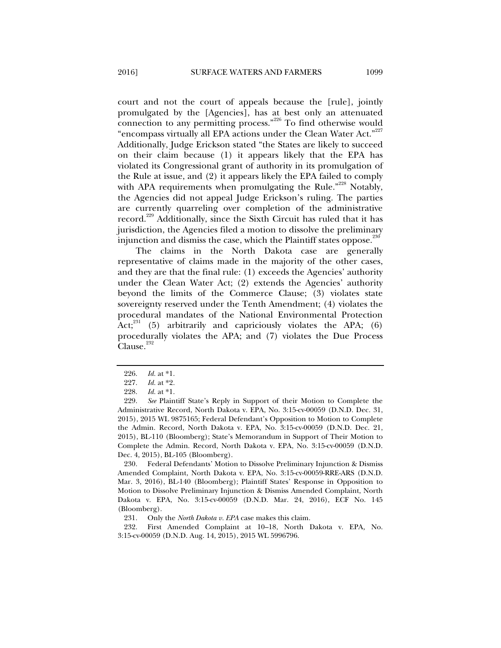court and not the court of appeals because the [rule], jointly promulgated by the [Agencies], has at best only an attenuated connection to any permitting process.<sup>"226</sup> To find otherwise would "encompass virtually all EPA actions under the Clean Water Act."<sup>227</sup> Additionally, Judge Erickson stated "the States are likely to succeed on their claim because (1) it appears likely that the EPA has violated its Congressional grant of authority in its promulgation of the Rule at issue, and (2) it appears likely the EPA failed to comply with APA requirements when promulgating the Rule."<sup>228</sup> Notably, the Agencies did not appeal Judge Erickson's ruling. The parties are currently quarreling over completion of the administrative record.<sup>229</sup> Additionally, since the Sixth Circuit has ruled that it has jurisdiction, the Agencies filed a motion to dissolve the preliminary injunction and dismiss the case, which the Plaintiff states oppose.<sup>250</sup>

The claims in the North Dakota case are generally representative of claims made in the majority of the other cases, and they are that the final rule: (1) exceeds the Agencies' authority under the Clean Water Act; (2) extends the Agencies' authority beyond the limits of the Commerce Clause; (3) violates state sovereignty reserved under the Tenth Amendment; (4) violates the procedural mandates of the National Environmental Protection Act;<sup>231</sup> (5) arbitrarily and capriciously violates the APA; (6) procedurally violates the APA; and (7) violates the Due Process Clause.<sup>232</sup>

 230. Federal Defendants' Motion to Dissolve Preliminary Injunction & Dismiss Amended Complaint, North Dakota v. EPA, No. 3:15-cv-00059-RRE-ARS (D.N.D. Mar. 3, 2016), BL-140 (Bloomberg); Plaintiff States' Response in Opposition to Motion to Dissolve Preliminary Injunction & Dismiss Amended Complaint, North Dakota v. EPA, No. 3:15-cv-00059 (D.N.D. Mar. 24, 2016), ECF No. 145 (Bloomberg).

 232. First Amended Complaint at 10–18, North Dakota v. EPA*,* No. 3:15-cv-00059 (D.N.D. Aug. 14, 2015), 2015 WL 5996796.

 <sup>226.</sup> *Id.* at \*1.

 <sup>227.</sup> *Id.* at \*2.

 <sup>228.</sup> *Id.* at \*1.

 <sup>229.</sup> *See* Plaintiff State's Reply in Support of their Motion to Complete the Administrative Record, North Dakota v. EPA, No. 3:15-cv-00059 (D.N.D. Dec. 31, 2015), 2015 WL 9875165; Federal Defendant's Opposition to Motion to Complete the Admin. Record, North Dakota v. EPA, No. 3:15-cv-00059 (D.N.D. Dec. 21, 2015), BL-110 (Bloomberg); State's Memorandum in Support of Their Motion to Complete the Admin. Record, North Dakota v. EPA, No. 3:15-cv-00059 (D.N.D. Dec. 4, 2015), BL-105 (Bloomberg).

 <sup>231.</sup> Only the *North Dakota v. EPA* case makes this claim.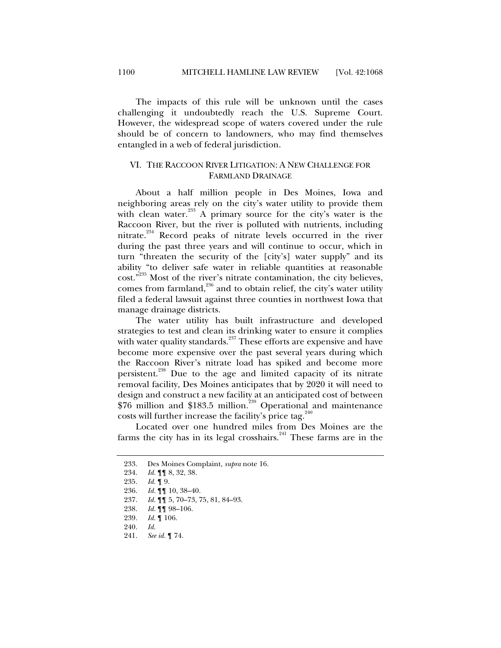The impacts of this rule will be unknown until the cases challenging it undoubtedly reach the U.S. Supreme Court. However, the widespread scope of waters covered under the rule should be of concern to landowners, who may find themselves entangled in a web of federal jurisdiction.

#### VI. THE RACCOON RIVER LITIGATION: A NEW CHALLENGE FOR FARMLAND DRAINAGE

About a half million people in Des Moines, Iowa and neighboring areas rely on the city's water utility to provide them with clean water.<sup>233</sup> A primary source for the city's water is the Raccoon River, but the river is polluted with nutrients, including nitrate.<sup>234</sup> Record peaks of nitrate levels occurred in the river during the past three years and will continue to occur, which in turn "threaten the security of the [city's] water supply" and its ability "to deliver safe water in reliable quantities at reasonable cost."<sup>235</sup> Most of the river's nitrate contamination, the city believes, comes from farmland, $^{236}$  and to obtain relief, the city's water utility filed a federal lawsuit against three counties in northwest Iowa that manage drainage districts.

The water utility has built infrastructure and developed strategies to test and clean its drinking water to ensure it complies with water quality standards. $^{237}$  These efforts are expensive and have become more expensive over the past several years during which the Raccoon River's nitrate load has spiked and become more persistent.<sup>238</sup> Due to the age and limited capacity of its nitrate removal facility, Des Moines anticipates that by 2020 it will need to design and construct a new facility at an anticipated cost of between \$76 million and \$183.5 million.<sup>239</sup> Operational and maintenance costs will further increase the facility's price tag. $240$ 

Located over one hundred miles from Des Moines are the farms the city has in its legal crosshairs. $241$  These farms are in the

 <sup>233.</sup> Des Moines Complaint, *supra* note 16.

 <sup>234.</sup> *Id.* ¶¶ 8, 32, 38.

 <sup>235.</sup> *Id.* ¶ 9.

 <sup>236.</sup> *Id.* ¶¶ 10, 38–40.

 <sup>237.</sup> *Id.* ¶¶ 5, 70–73, 75, 81, 84–93.

 <sup>238.</sup> *Id.* ¶¶ 98–106.

 <sup>239.</sup> *Id.* ¶ 106.

 <sup>240.</sup> *Id.*

 <sup>241.</sup> *See id.* ¶ 74.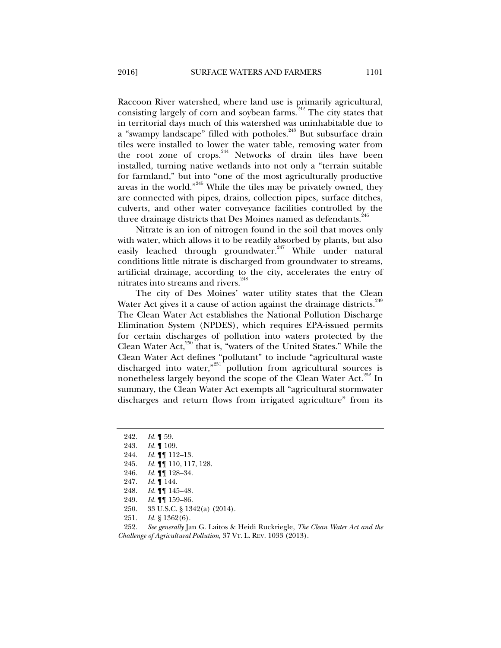Raccoon River watershed, where land use is primarily agricultural, consisting largely of corn and soybean farms.<sup> $242$ </sup> The city states that in territorial days much of this watershed was uninhabitable due to a "swampy landscape" filled with potholes.<sup>243</sup> But subsurface drain tiles were installed to lower the water table, removing water from the root zone of crops.<sup>244</sup> Networks of drain tiles have been installed, turning native wetlands into not only a "terrain suitable for farmland," but into "one of the most agriculturally productive areas in the world."245 While the tiles may be privately owned, they are connected with pipes, drains, collection pipes, surface ditches, culverts, and other water conveyance facilities controlled by the three drainage districts that Des Moines named as defendants.<sup>246</sup>

Nitrate is an ion of nitrogen found in the soil that moves only with water, which allows it to be readily absorbed by plants, but also easily leached through groundwater.<sup>247</sup> While under natural conditions little nitrate is discharged from groundwater to streams, artificial drainage, according to the city, accelerates the entry of nitrates into streams and rivers.<sup>248</sup>

The city of Des Moines' water utility states that the Clean Water Act gives it a cause of action against the drainage districts.<sup>249</sup> The Clean Water Act establishes the National Pollution Discharge Elimination System (NPDES), which requires EPA-issued permits for certain discharges of pollution into waters protected by the Clean Water Act, $250$  that is, "waters of the United States." While the Clean Water Act defines "pollutant" to include "agricultural waste discharged into water,"<sup>251</sup> pollution from agricultural sources is nonetheless largely beyond the scope of the Clean Water Act.<sup>252</sup> In summary, the Clean Water Act exempts all "agricultural stormwater discharges and return flows from irrigated agriculture" from its

- 245. *Id.* ¶¶ 110, 117, 128.
- 246. *Id.* ¶¶ 128–34.
- 247. *Id.* ¶ 144.
- 248. *Id.* ¶¶ 145–48.
- 249. *Id.* ¶¶ 159–86.
- 250. 33 U.S.C. § 1342(a) (2014).
- 251. *Id.* § 1362(6).

 252. *See generally* Jan G. Laitos & Heidi Ruckriegle, *The Clean Water Act and the Challenge of Agricultural Pollution*, 37 VT. L. REV. 1033 (2013).

 <sup>242.</sup> *Id.* ¶ 59.

 <sup>243.</sup> *Id.* ¶ 109.

 <sup>244.</sup> *Id.* ¶¶ 112–13.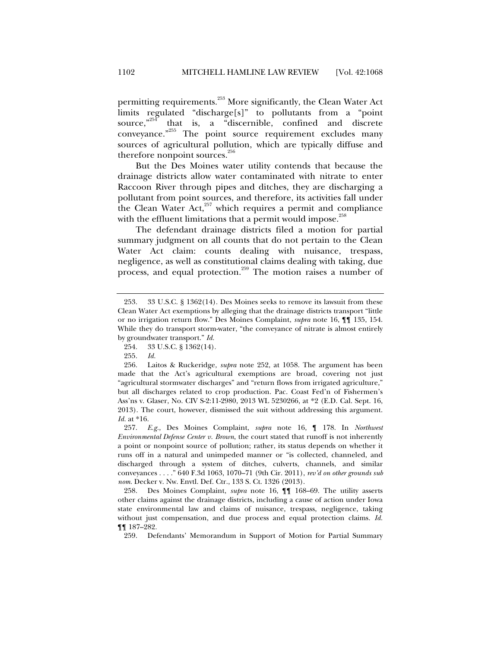permitting requirements.<sup>253</sup> More significantly, the Clean Water Act limits regulated "discharge[s]" to pollutants from a "point source," $254$  that is, a "discernible, confined and discrete conveyance."<sup>255</sup> The point source requirement excludes many sources of agricultural pollution, which are typically diffuse and therefore nonpoint sources.<sup>256</sup>

But the Des Moines water utility contends that because the drainage districts allow water contaminated with nitrate to enter Raccoon River through pipes and ditches, they are discharging a pollutant from point sources, and therefore, its activities fall under the Clean Water Act, $257$  which requires a permit and compliance with the effluent limitations that a permit would impose. $258$ 

The defendant drainage districts filed a motion for partial summary judgment on all counts that do not pertain to the Clean Water Act claim: counts dealing with nuisance, trespass, negligence, as well as constitutional claims dealing with taking, due process, and equal protection.<sup>259</sup> The motion raises a number of

 <sup>253. 33</sup> U.S.C. § 1362(14). Des Moines seeks to remove its lawsuit from these Clean Water Act exemptions by alleging that the drainage districts transport "little or no irrigation return flow." Des Moines Complaint, *supra* note 16, ¶¶ 135, 154. While they do transport storm-water, "the conveyance of nitrate is almost entirely by groundwater transport." *Id.*

 <sup>254. 33</sup> U.S.C. § 1362(14).

 <sup>255.</sup> *Id.* 

 <sup>256.</sup> Laitos & Ruckeridge, *supra* note 252, at 1058. The argument has been made that the Act's agricultural exemptions are broad, covering not just "agricultural stormwater discharges" and "return flows from irrigated agriculture," but all discharges related to crop production. Pac. Coast Fed'n of Fishermen's Ass'ns v. Glaser, No. CIV S-2:11-2980, 2013 WL 5230266, at \*2 (E.D. Cal. Sept. 16, 2013). The court, however, dismissed the suit without addressing this argument. *Id.* at \*16.

 <sup>257.</sup> *E.g.*, Des Moines Complaint, *supra* note 16, ¶ 178. In *Northwest Environmental Defense Center v. Brown*, the court stated that runoff is not inherently a point or nonpoint source of pollution; rather, its status depends on whether it runs off in a natural and unimpeded manner or "is collected, channeled, and discharged through a system of ditches, culverts, channels, and similar conveyances . . . ." 640 F.3d 1063, 1070–71 (9th Cir. 2011), *rev'd on other grounds sub nom.* Decker v. Nw. Envtl. Def. Ctr., 133 S. Ct. 1326 (2013).

 <sup>258.</sup> Des Moines Complaint, *supra* note 16, ¶¶ 168–69. The utility asserts other claims against the drainage districts, including a cause of action under Iowa state environmental law and claims of nuisance, trespass, negligence, taking without just compensation, and due process and equal protection claims. *Id.*  ¶¶ 187–282.

 <sup>259.</sup> Defendants' Memorandum in Support of Motion for Partial Summary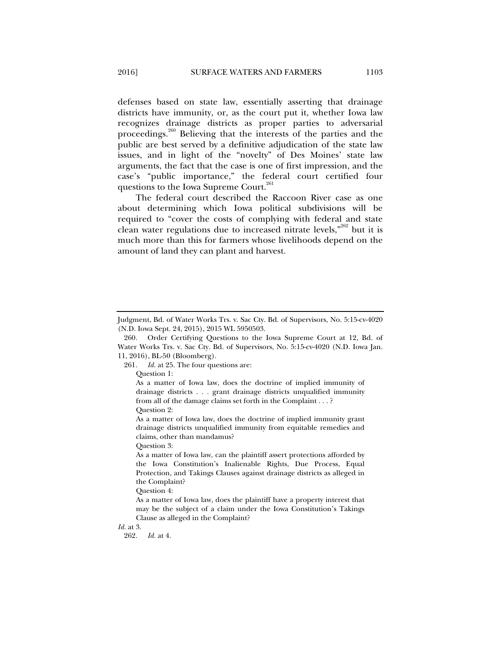defenses based on state law, essentially asserting that drainage districts have immunity, or, as the court put it, whether Iowa law recognizes drainage districts as proper parties to adversarial proceedings.<sup>260</sup> Believing that the interests of the parties and the public are best served by a definitive adjudication of the state law issues, and in light of the "novelty" of Des Moines' state law arguments, the fact that the case is one of first impression, and the case's "public importance," the federal court certified four questions to the Iowa Supreme Court.<sup>261</sup>

The federal court described the Raccoon River case as one about determining which Iowa political subdivisions will be required to "cover the costs of complying with federal and state clean water regulations due to increased nitrate levels, $\frac{1}{262}$  but it is much more than this for farmers whose livelihoods depend on the amount of land they can plant and harvest.

261. *Id.* at 25. The four questions are:

Question 1:

As a matter of Iowa law, does the doctrine of implied immunity of drainage districts . . . grant drainage districts unqualified immunity from all of the damage claims set forth in the Complaint . . . ?

Question 2:

As a matter of Iowa law, does the doctrine of implied immunity grant drainage districts unqualified immunity from equitable remedies and claims, other than mandamus?

Question 3:

As a matter of Iowa law, can the plaintiff assert protections afforded by the Iowa Constitution's Inalienable Rights, Due Process, Equal Protection, and Takings Clauses against drainage districts as alleged in the Complaint?

Question 4:

As a matter of Iowa law, does the plaintiff have a property interest that may be the subject of a claim under the Iowa Constitution's Takings Clause as alleged in the Complaint?

*Id.* at 3.

262. *Id.* at 4.

Judgment, Bd. of Water Works Trs. v. Sac Cty. Bd. of Supervisors, No. 5:15-cv-4020 (N.D. Iowa Sept. 24, 2015), 2015 WL 5950503.

 <sup>260.</sup> Order Certifying Questions to the Iowa Supreme Court at 12, Bd. of Water Works Trs. v. Sac Cty. Bd. of Supervisors, No. 5:15-cv-4020 (N.D. Iowa Jan. 11, 2016), BL-50 (Bloomberg).